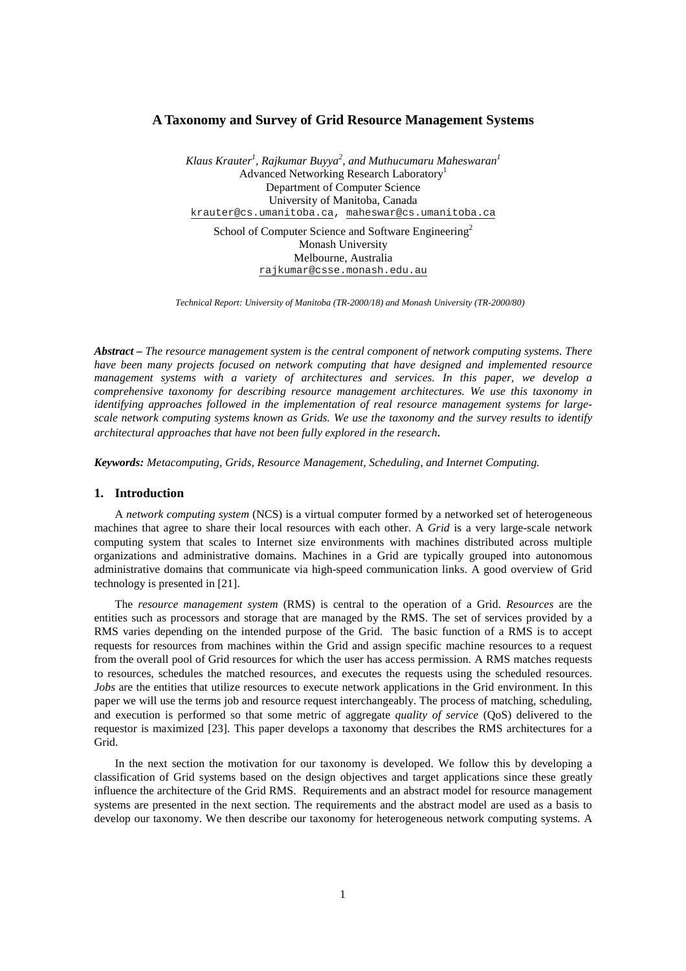# **A Taxonomy and Survey of Grid Resource Management Systems**

*Klaus Krauter1 , Rajkumar Buyya<sup>2</sup> , and Muthucumaru Maheswaran<sup>1</sup>* Advanced Networking Research Laboratory1 Department of Computer Science University of Manitoba, Canada krauter@cs.umanitoba.ca, maheswar@cs.umanitoba.ca

School of Computer Science and Software Engineering<sup>2</sup> Monash University Melbourne, Australia rajkumar@csse.monash.edu.au

*Technical Report: University of Manitoba (TR-2000/18) and Monash University (TR-2000/80)*

*Abstract – The resource management system is the central component of network computing systems. There have been many projects focused on network computing that have designed and implemented resource management systems with a variety of architectures and services. In this paper, we develop a comprehensive taxonomy for describing resource management architectures. We use this taxonomy in identifying approaches followed in the implementation of real resource management systems for largescale network computing systems known as Grids. We use the taxonomy and the survey results to identify architectural approaches that have not been fully explored in the research.*

*Keywords: Metacomputing, Grids, Resource Management, Scheduling, and Internet Computing.*

#### **1. Introduction**

A *network computing system* (NCS) is a virtual computer formed by a networked set of heterogeneous machines that agree to share their local resources with each other. A *Grid* is a very large-scale network computing system that scales to Internet size environments with machines distributed across multiple organizations and administrative domains. Machines in a Grid are typically grouped into autonomous administrative domains that communicate via high-speed communication links. A good overview of Grid technology is presented in [21].

The *resource management system* (RMS) is central to the operation of a Grid. *Resources* are the entities such as processors and storage that are managed by the RMS. The set of services provided by a RMS varies depending on the intended purpose of the Grid. The basic function of a RMS is to accept requests for resources from machines within the Grid and assign specific machine resources to a request from the overall pool of Grid resources for which the user has access permission. A RMS matches requests to resources, schedules the matched resources, and executes the requests using the scheduled resources. *Jobs* are the entities that utilize resources to execute network applications in the Grid environment. In this paper we will use the terms job and resource request interchangeably. The process of matching, scheduling, and execution is performed so that some metric of aggregate *quality of service* (QoS) delivered to the requestor is maximized [23]. This paper develops a taxonomy that describes the RMS architectures for a Grid.

In the next section the motivation for our taxonomy is developed. We follow this by developing a classification of Grid systems based on the design objectives and target applications since these greatly influence the architecture of the Grid RMS. Requirements and an abstract model for resource management systems are presented in the next section. The requirements and the abstract model are used as a basis to develop our taxonomy. We then describe our taxonomy for heterogeneous network computing systems. A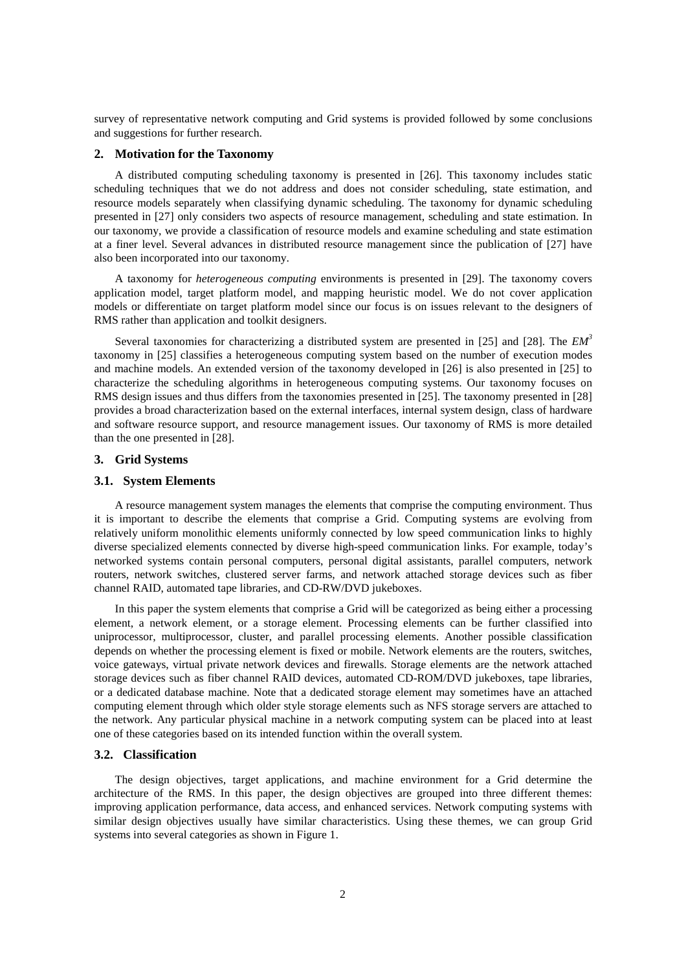survey of representative network computing and Grid systems is provided followed by some conclusions and suggestions for further research.

#### **2. Motivation for the Taxonomy**

A distributed computing scheduling taxonomy is presented in [26]. This taxonomy includes static scheduling techniques that we do not address and does not consider scheduling, state estimation, and resource models separately when classifying dynamic scheduling. The taxonomy for dynamic scheduling presented in [27] only considers two aspects of resource management, scheduling and state estimation. In our taxonomy, we provide a classification of resource models and examine scheduling and state estimation at a finer level. Several advances in distributed resource management since the publication of [27] have also been incorporated into our taxonomy.

A taxonomy for *heterogeneous computing* environments is presented in [29]. The taxonomy covers application model, target platform model, and mapping heuristic model. We do not cover application models or differentiate on target platform model since our focus is on issues relevant to the designers of RMS rather than application and toolkit designers.

Several taxonomies for characterizing a distributed system are presented in [25] and [28]. The *EM3* taxonomy in [25] classifies a heterogeneous computing system based on the number of execution modes and machine models. An extended version of the taxonomy developed in [26] is also presented in [25] to characterize the scheduling algorithms in heterogeneous computing systems. Our taxonomy focuses on RMS design issues and thus differs from the taxonomies presented in [25]. The taxonomy presented in [28] provides a broad characterization based on the external interfaces, internal system design, class of hardware and software resource support, and resource management issues. Our taxonomy of RMS is more detailed than the one presented in [28].

#### **3. Grid Systems**

#### **3.1. System Elements**

A resource management system manages the elements that comprise the computing environment. Thus it is important to describe the elements that comprise a Grid. Computing systems are evolving from relatively uniform monolithic elements uniformly connected by low speed communication links to highly diverse specialized elements connected by diverse high-speed communication links. For example, today's networked systems contain personal computers, personal digital assistants, parallel computers, network routers, network switches, clustered server farms, and network attached storage devices such as fiber channel RAID, automated tape libraries, and CD-RW/DVD jukeboxes.

In this paper the system elements that comprise a Grid will be categorized as being either a processing element, a network element, or a storage element. Processing elements can be further classified into uniprocessor, multiprocessor, cluster, and parallel processing elements. Another possible classification depends on whether the processing element is fixed or mobile. Network elements are the routers, switches, voice gateways, virtual private network devices and firewalls. Storage elements are the network attached storage devices such as fiber channel RAID devices, automated CD-ROM/DVD jukeboxes, tape libraries, or a dedicated database machine. Note that a dedicated storage element may sometimes have an attached computing element through which older style storage elements such as NFS storage servers are attached to the network. Any particular physical machine in a network computing system can be placed into at least one of these categories based on its intended function within the overall system.

### **3.2. Classification**

The design objectives, target applications, and machine environment for a Grid determine the architecture of the RMS. In this paper, the design objectives are grouped into three different themes: improving application performance, data access, and enhanced services. Network computing systems with similar design objectives usually have similar characteristics. Using these themes, we can group Grid systems into several categories as shown in Figure 1.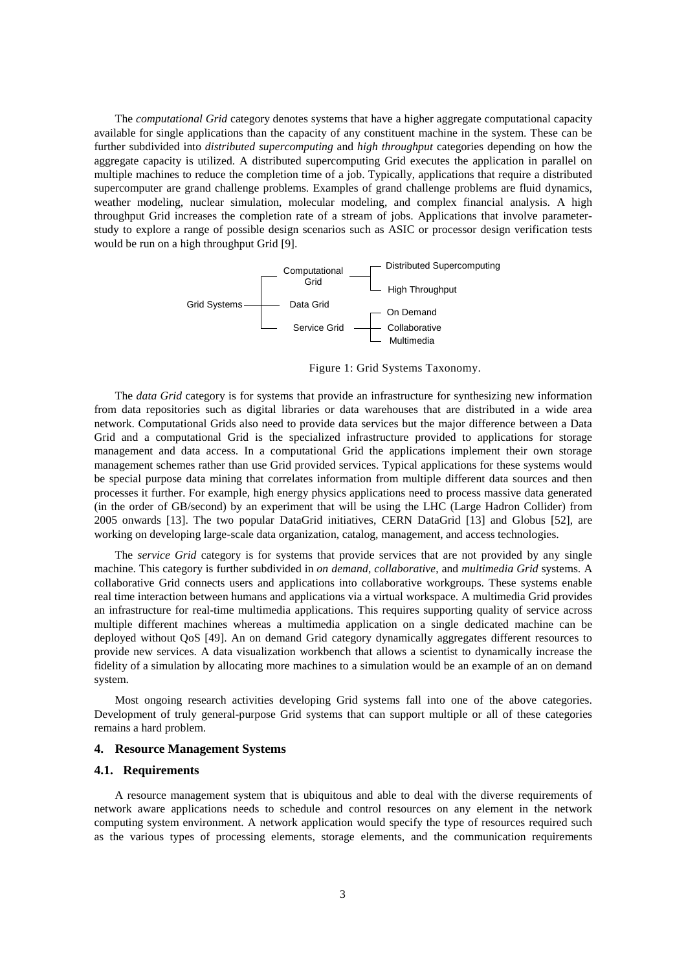The *computational Grid* category denotes systems that have a higher aggregate computational capacity available for single applications than the capacity of any constituent machine in the system. These can be further subdivided into *distributed supercomputing* and *high throughput* categories depending on how the aggregate capacity is utilized. A distributed supercomputing Grid executes the application in parallel on multiple machines to reduce the completion time of a job. Typically, applications that require a distributed supercomputer are grand challenge problems. Examples of grand challenge problems are fluid dynamics, weather modeling, nuclear simulation, molecular modeling, and complex financial analysis. A high throughput Grid increases the completion rate of a stream of jobs. Applications that involve parameterstudy to explore a range of possible design scenarios such as ASIC or processor design verification tests would be run on a high throughput Grid [9].



Figure 1: Grid Systems Taxonomy.

The *data Grid* category is for systems that provide an infrastructure for synthesizing new information from data repositories such as digital libraries or data warehouses that are distributed in a wide area network. Computational Grids also need to provide data services but the major difference between a Data Grid and a computational Grid is the specialized infrastructure provided to applications for storage management and data access. In a computational Grid the applications implement their own storage management schemes rather than use Grid provided services. Typical applications for these systems would be special purpose data mining that correlates information from multiple different data sources and then processes it further. For example, high energy physics applications need to process massive data generated (in the order of GB/second) by an experiment that will be using the LHC (Large Hadron Collider) from 2005 onwards [13]. The two popular DataGrid initiatives, CERN DataGrid [13] and Globus [52], are working on developing large-scale data organization, catalog, management, and access technologies.

The *service Grid* category is for systems that provide services that are not provided by any single machine. This category is further subdivided in *on demand*, *collaborative*, and *multimedia Grid* systems. A collaborative Grid connects users and applications into collaborative workgroups. These systems enable real time interaction between humans and applications via a virtual workspace. A multimedia Grid provides an infrastructure for real-time multimedia applications. This requires supporting quality of service across multiple different machines whereas a multimedia application on a single dedicated machine can be deployed without QoS [49]. An on demand Grid category dynamically aggregates different resources to provide new services. A data visualization workbench that allows a scientist to dynamically increase the fidelity of a simulation by allocating more machines to a simulation would be an example of an on demand system.

Most ongoing research activities developing Grid systems fall into one of the above categories. Development of truly general-purpose Grid systems that can support multiple or all of these categories remains a hard problem.

#### **4. Resource Management Systems**

#### **4.1. Requirements**

A resource management system that is ubiquitous and able to deal with the diverse requirements of network aware applications needs to schedule and control resources on any element in the network computing system environment. A network application would specify the type of resources required such as the various types of processing elements, storage elements, and the communication requirements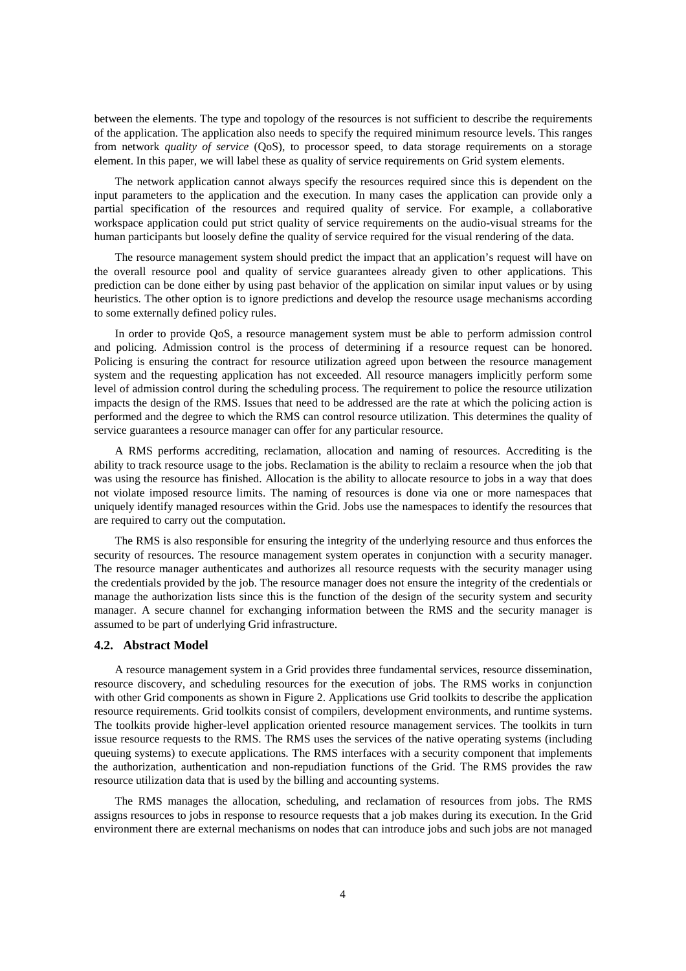between the elements. The type and topology of the resources is not sufficient to describe the requirements of the application. The application also needs to specify the required minimum resource levels. This ranges from network *quality of service* (QoS), to processor speed, to data storage requirements on a storage element. In this paper, we will label these as quality of service requirements on Grid system elements.

The network application cannot always specify the resources required since this is dependent on the input parameters to the application and the execution. In many cases the application can provide only a partial specification of the resources and required quality of service. For example, a collaborative workspace application could put strict quality of service requirements on the audio-visual streams for the human participants but loosely define the quality of service required for the visual rendering of the data.

The resource management system should predict the impact that an application's request will have on the overall resource pool and quality of service guarantees already given to other applications. This prediction can be done either by using past behavior of the application on similar input values or by using heuristics. The other option is to ignore predictions and develop the resource usage mechanisms according to some externally defined policy rules.

In order to provide QoS, a resource management system must be able to perform admission control and policing. Admission control is the process of determining if a resource request can be honored. Policing is ensuring the contract for resource utilization agreed upon between the resource management system and the requesting application has not exceeded. All resource managers implicitly perform some level of admission control during the scheduling process. The requirement to police the resource utilization impacts the design of the RMS. Issues that need to be addressed are the rate at which the policing action is performed and the degree to which the RMS can control resource utilization. This determines the quality of service guarantees a resource manager can offer for any particular resource.

A RMS performs accrediting, reclamation, allocation and naming of resources. Accrediting is the ability to track resource usage to the jobs. Reclamation is the ability to reclaim a resource when the job that was using the resource has finished. Allocation is the ability to allocate resource to jobs in a way that does not violate imposed resource limits. The naming of resources is done via one or more namespaces that uniquely identify managed resources within the Grid. Jobs use the namespaces to identify the resources that are required to carry out the computation.

The RMS is also responsible for ensuring the integrity of the underlying resource and thus enforces the security of resources. The resource management system operates in conjunction with a security manager. The resource manager authenticates and authorizes all resource requests with the security manager using the credentials provided by the job. The resource manager does not ensure the integrity of the credentials or manage the authorization lists since this is the function of the design of the security system and security manager. A secure channel for exchanging information between the RMS and the security manager is assumed to be part of underlying Grid infrastructure.

#### **4.2. Abstract Model**

A resource management system in a Grid provides three fundamental services, resource dissemination, resource discovery, and scheduling resources for the execution of jobs. The RMS works in conjunction with other Grid components as shown in Figure 2. Applications use Grid toolkits to describe the application resource requirements. Grid toolkits consist of compilers, development environments, and runtime systems. The toolkits provide higher-level application oriented resource management services. The toolkits in turn issue resource requests to the RMS. The RMS uses the services of the native operating systems (including queuing systems) to execute applications. The RMS interfaces with a security component that implements the authorization, authentication and non-repudiation functions of the Grid. The RMS provides the raw resource utilization data that is used by the billing and accounting systems.

The RMS manages the allocation, scheduling, and reclamation of resources from jobs. The RMS assigns resources to jobs in response to resource requests that a job makes during its execution. In the Grid environment there are external mechanisms on nodes that can introduce jobs and such jobs are not managed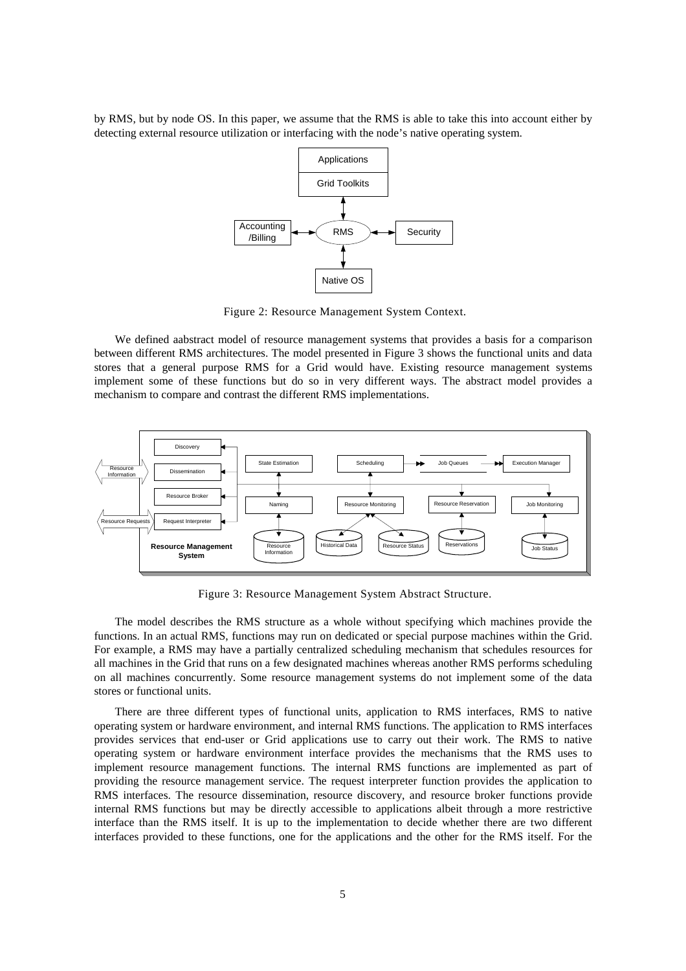by RMS, but by node OS. In this paper, we assume that the RMS is able to take this into account either by detecting external resource utilization or interfacing with the node's native operating system.



Figure 2: Resource Management System Context.

We defined aabstract model of resource management systems that provides a basis for a comparison between different RMS architectures. The model presented in Figure 3 shows the functional units and data stores that a general purpose RMS for a Grid would have. Existing resource management systems implement some of these functions but do so in very different ways. The abstract model provides a mechanism to compare and contrast the different RMS implementations.



Figure 3: Resource Management System Abstract Structure.

The model describes the RMS structure as a whole without specifying which machines provide the functions. In an actual RMS, functions may run on dedicated or special purpose machines within the Grid. For example, a RMS may have a partially centralized scheduling mechanism that schedules resources for all machines in the Grid that runs on a few designated machines whereas another RMS performs scheduling on all machines concurrently. Some resource management systems do not implement some of the data stores or functional units.

There are three different types of functional units, application to RMS interfaces, RMS to native operating system or hardware environment, and internal RMS functions. The application to RMS interfaces provides services that end-user or Grid applications use to carry out their work. The RMS to native operating system or hardware environment interface provides the mechanisms that the RMS uses to implement resource management functions. The internal RMS functions are implemented as part of providing the resource management service. The request interpreter function provides the application to RMS interfaces. The resource dissemination, resource discovery, and resource broker functions provide internal RMS functions but may be directly accessible to applications albeit through a more restrictive interface than the RMS itself. It is up to the implementation to decide whether there are two different interfaces provided to these functions, one for the applications and the other for the RMS itself. For the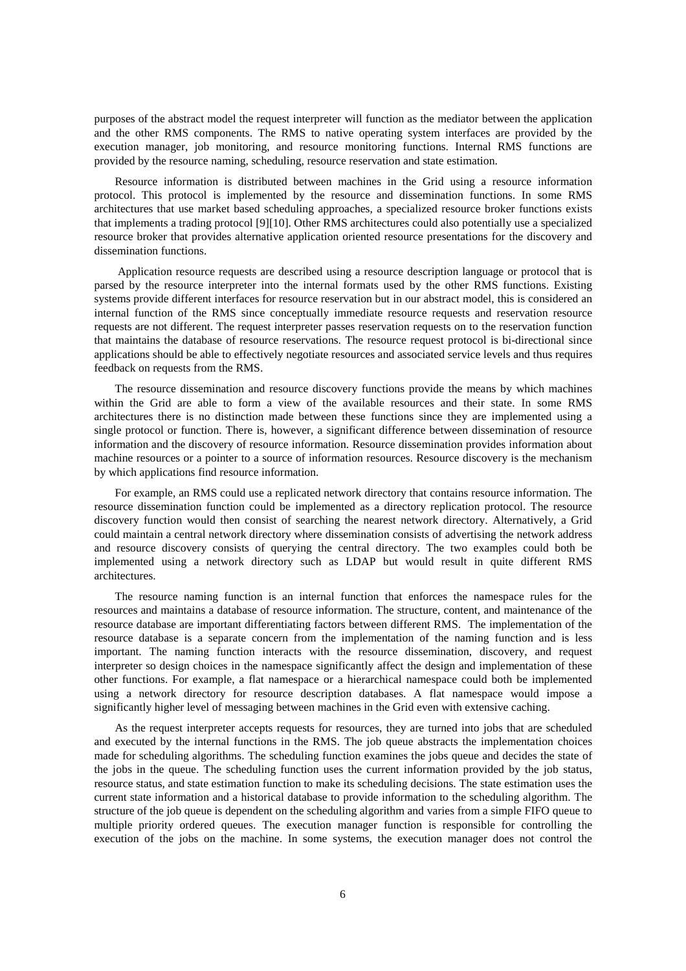purposes of the abstract model the request interpreter will function as the mediator between the application and the other RMS components. The RMS to native operating system interfaces are provided by the execution manager, job monitoring, and resource monitoring functions. Internal RMS functions are provided by the resource naming, scheduling, resource reservation and state estimation.

Resource information is distributed between machines in the Grid using a resource information protocol. This protocol is implemented by the resource and dissemination functions. In some RMS architectures that use market based scheduling approaches, a specialized resource broker functions exists that implements a trading protocol [9][10]. Other RMS architectures could also potentially use a specialized resource broker that provides alternative application oriented resource presentations for the discovery and dissemination functions.

 Application resource requests are described using a resource description language or protocol that is parsed by the resource interpreter into the internal formats used by the other RMS functions. Existing systems provide different interfaces for resource reservation but in our abstract model, this is considered an internal function of the RMS since conceptually immediate resource requests and reservation resource requests are not different. The request interpreter passes reservation requests on to the reservation function that maintains the database of resource reservations. The resource request protocol is bi-directional since applications should be able to effectively negotiate resources and associated service levels and thus requires feedback on requests from the RMS.

The resource dissemination and resource discovery functions provide the means by which machines within the Grid are able to form a view of the available resources and their state. In some RMS architectures there is no distinction made between these functions since they are implemented using a single protocol or function. There is, however, a significant difference between dissemination of resource information and the discovery of resource information. Resource dissemination provides information about machine resources or a pointer to a source of information resources. Resource discovery is the mechanism by which applications find resource information.

For example, an RMS could use a replicated network directory that contains resource information. The resource dissemination function could be implemented as a directory replication protocol. The resource discovery function would then consist of searching the nearest network directory. Alternatively, a Grid could maintain a central network directory where dissemination consists of advertising the network address and resource discovery consists of querying the central directory. The two examples could both be implemented using a network directory such as LDAP but would result in quite different RMS architectures.

The resource naming function is an internal function that enforces the namespace rules for the resources and maintains a database of resource information. The structure, content, and maintenance of the resource database are important differentiating factors between different RMS. The implementation of the resource database is a separate concern from the implementation of the naming function and is less important. The naming function interacts with the resource dissemination, discovery, and request interpreter so design choices in the namespace significantly affect the design and implementation of these other functions. For example, a flat namespace or a hierarchical namespace could both be implemented using a network directory for resource description databases. A flat namespace would impose a significantly higher level of messaging between machines in the Grid even with extensive caching.

As the request interpreter accepts requests for resources, they are turned into jobs that are scheduled and executed by the internal functions in the RMS. The job queue abstracts the implementation choices made for scheduling algorithms. The scheduling function examines the jobs queue and decides the state of the jobs in the queue. The scheduling function uses the current information provided by the job status, resource status, and state estimation function to make its scheduling decisions. The state estimation uses the current state information and a historical database to provide information to the scheduling algorithm. The structure of the job queue is dependent on the scheduling algorithm and varies from a simple FIFO queue to multiple priority ordered queues. The execution manager function is responsible for controlling the execution of the jobs on the machine. In some systems, the execution manager does not control the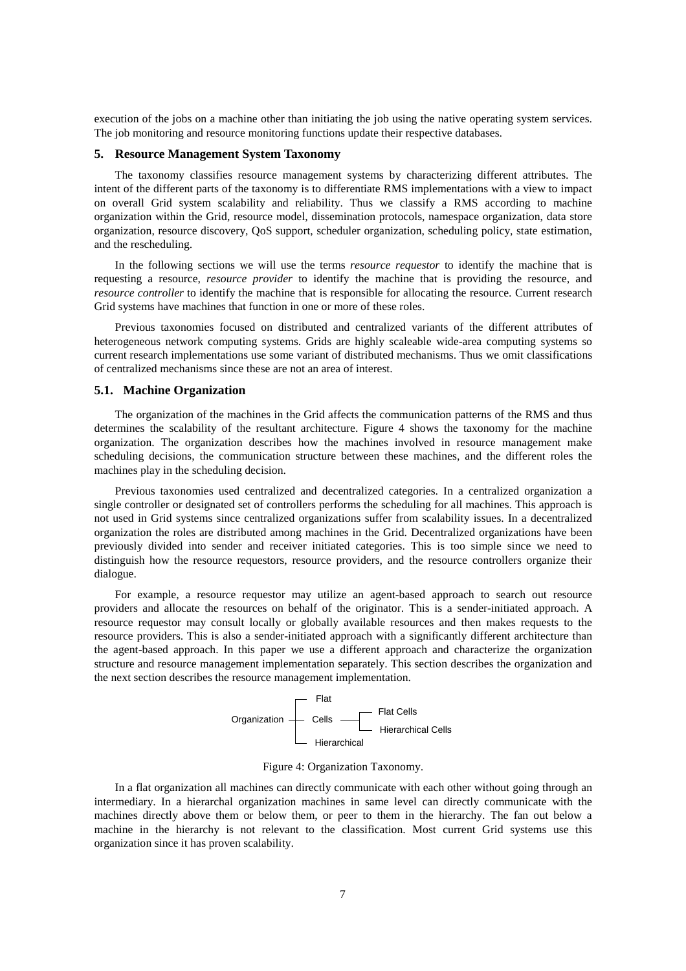execution of the jobs on a machine other than initiating the job using the native operating system services. The job monitoring and resource monitoring functions update their respective databases.

#### **5. Resource Management System Taxonomy**

The taxonomy classifies resource management systems by characterizing different attributes. The intent of the different parts of the taxonomy is to differentiate RMS implementations with a view to impact on overall Grid system scalability and reliability. Thus we classify a RMS according to machine organization within the Grid, resource model, dissemination protocols, namespace organization, data store organization, resource discovery, QoS support, scheduler organization, scheduling policy, state estimation, and the rescheduling.

In the following sections we will use the terms *resource requestor* to identify the machine that is requesting a resource, *resource provider* to identify the machine that is providing the resource, and *resource controller* to identify the machine that is responsible for allocating the resource. Current research Grid systems have machines that function in one or more of these roles.

Previous taxonomies focused on distributed and centralized variants of the different attributes of heterogeneous network computing systems. Grids are highly scaleable wide-area computing systems so current research implementations use some variant of distributed mechanisms. Thus we omit classifications of centralized mechanisms since these are not an area of interest.

#### **5.1. Machine Organization**

The organization of the machines in the Grid affects the communication patterns of the RMS and thus determines the scalability of the resultant architecture. Figure 4 shows the taxonomy for the machine organization. The organization describes how the machines involved in resource management make scheduling decisions, the communication structure between these machines, and the different roles the machines play in the scheduling decision.

Previous taxonomies used centralized and decentralized categories. In a centralized organization a single controller or designated set of controllers performs the scheduling for all machines. This approach is not used in Grid systems since centralized organizations suffer from scalability issues. In a decentralized organization the roles are distributed among machines in the Grid. Decentralized organizations have been previously divided into sender and receiver initiated categories. This is too simple since we need to distinguish how the resource requestors, resource providers, and the resource controllers organize their dialogue.

For example, a resource requestor may utilize an agent-based approach to search out resource providers and allocate the resources on behalf of the originator. This is a sender-initiated approach. A resource requestor may consult locally or globally available resources and then makes requests to the resource providers. This is also a sender-initiated approach with a significantly different architecture than the agent-based approach. In this paper we use a different approach and characterize the organization structure and resource management implementation separately. This section describes the organization and the next section describes the resource management implementation.



Figure 4: Organization Taxonomy.

In a flat organization all machines can directly communicate with each other without going through an intermediary. In a hierarchal organization machines in same level can directly communicate with the machines directly above them or below them, or peer to them in the hierarchy. The fan out below a machine in the hierarchy is not relevant to the classification. Most current Grid systems use this organization since it has proven scalability.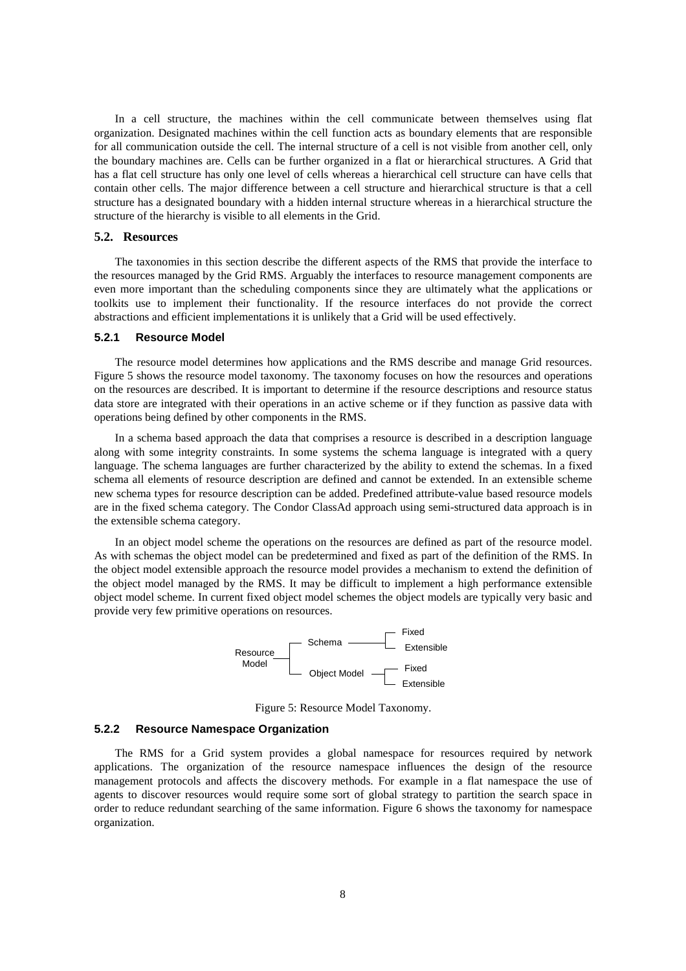In a cell structure, the machines within the cell communicate between themselves using flat organization. Designated machines within the cell function acts as boundary elements that are responsible for all communication outside the cell. The internal structure of a cell is not visible from another cell, only the boundary machines are. Cells can be further organized in a flat or hierarchical structures. A Grid that has a flat cell structure has only one level of cells whereas a hierarchical cell structure can have cells that contain other cells. The major difference between a cell structure and hierarchical structure is that a cell structure has a designated boundary with a hidden internal structure whereas in a hierarchical structure the structure of the hierarchy is visible to all elements in the Grid.

#### **5.2. Resources**

The taxonomies in this section describe the different aspects of the RMS that provide the interface to the resources managed by the Grid RMS. Arguably the interfaces to resource management components are even more important than the scheduling components since they are ultimately what the applications or toolkits use to implement their functionality. If the resource interfaces do not provide the correct abstractions and efficient implementations it is unlikely that a Grid will be used effectively.

#### **5.2.1 Resource Model**

The resource model determines how applications and the RMS describe and manage Grid resources. Figure 5 shows the resource model taxonomy. The taxonomy focuses on how the resources and operations on the resources are described. It is important to determine if the resource descriptions and resource status data store are integrated with their operations in an active scheme or if they function as passive data with operations being defined by other components in the RMS.

In a schema based approach the data that comprises a resource is described in a description language along with some integrity constraints. In some systems the schema language is integrated with a query language. The schema languages are further characterized by the ability to extend the schemas. In a fixed schema all elements of resource description are defined and cannot be extended. In an extensible scheme new schema types for resource description can be added. Predefined attribute-value based resource models are in the fixed schema category. The Condor ClassAd approach using semi-structured data approach is in the extensible schema category.

In an object model scheme the operations on the resources are defined as part of the resource model. As with schemas the object model can be predetermined and fixed as part of the definition of the RMS. In the object model extensible approach the resource model provides a mechanism to extend the definition of the object model managed by the RMS. It may be difficult to implement a high performance extensible object model scheme. In current fixed object model schemes the object models are typically very basic and provide very few primitive operations on resources.



Figure 5: Resource Model Taxonomy.

#### **5.2.2 Resource Namespace Organization**

The RMS for a Grid system provides a global namespace for resources required by network applications. The organization of the resource namespace influences the design of the resource management protocols and affects the discovery methods. For example in a flat namespace the use of agents to discover resources would require some sort of global strategy to partition the search space in order to reduce redundant searching of the same information. Figure 6 shows the taxonomy for namespace organization.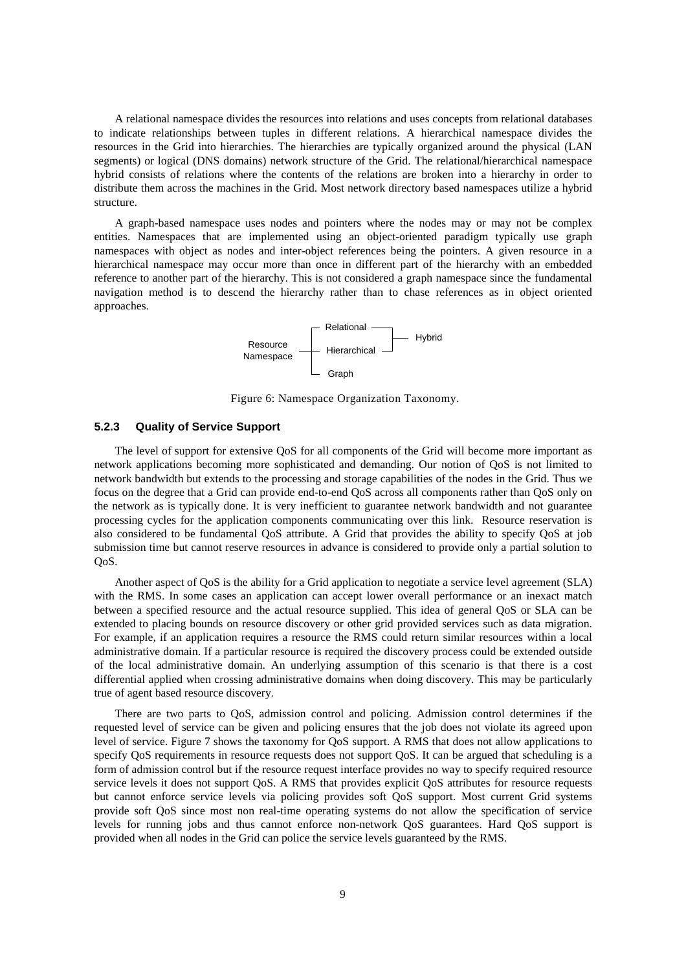A relational namespace divides the resources into relations and uses concepts from relational databases to indicate relationships between tuples in different relations. A hierarchical namespace divides the resources in the Grid into hierarchies. The hierarchies are typically organized around the physical (LAN segments) or logical (DNS domains) network structure of the Grid. The relational/hierarchical namespace hybrid consists of relations where the contents of the relations are broken into a hierarchy in order to distribute them across the machines in the Grid. Most network directory based namespaces utilize a hybrid structure.

A graph-based namespace uses nodes and pointers where the nodes may or may not be complex entities. Namespaces that are implemented using an object-oriented paradigm typically use graph namespaces with object as nodes and inter-object references being the pointers. A given resource in a hierarchical namespace may occur more than once in different part of the hierarchy with an embedded reference to another part of the hierarchy. This is not considered a graph namespace since the fundamental navigation method is to descend the hierarchy rather than to chase references as in object oriented approaches.



Figure 6: Namespace Organization Taxonomy.

# **5.2.3 Quality of Service Support**

The level of support for extensive QoS for all components of the Grid will become more important as network applications becoming more sophisticated and demanding. Our notion of QoS is not limited to network bandwidth but extends to the processing and storage capabilities of the nodes in the Grid. Thus we focus on the degree that a Grid can provide end-to-end QoS across all components rather than QoS only on the network as is typically done. It is very inefficient to guarantee network bandwidth and not guarantee processing cycles for the application components communicating over this link. Resource reservation is also considered to be fundamental QoS attribute. A Grid that provides the ability to specify QoS at job submission time but cannot reserve resources in advance is considered to provide only a partial solution to QoS.

Another aspect of QoS is the ability for a Grid application to negotiate a service level agreement (SLA) with the RMS. In some cases an application can accept lower overall performance or an inexact match between a specified resource and the actual resource supplied. This idea of general QoS or SLA can be extended to placing bounds on resource discovery or other grid provided services such as data migration. For example, if an application requires a resource the RMS could return similar resources within a local administrative domain. If a particular resource is required the discovery process could be extended outside of the local administrative domain. An underlying assumption of this scenario is that there is a cost differential applied when crossing administrative domains when doing discovery. This may be particularly true of agent based resource discovery.

There are two parts to QoS, admission control and policing. Admission control determines if the requested level of service can be given and policing ensures that the job does not violate its agreed upon level of service. Figure 7 shows the taxonomy for QoS support. A RMS that does not allow applications to specify QoS requirements in resource requests does not support QoS. It can be argued that scheduling is a form of admission control but if the resource request interface provides no way to specify required resource service levels it does not support QoS. A RMS that provides explicit QoS attributes for resource requests but cannot enforce service levels via policing provides soft QoS support. Most current Grid systems provide soft QoS since most non real-time operating systems do not allow the specification of service levels for running jobs and thus cannot enforce non-network QoS guarantees. Hard QoS support is provided when all nodes in the Grid can police the service levels guaranteed by the RMS.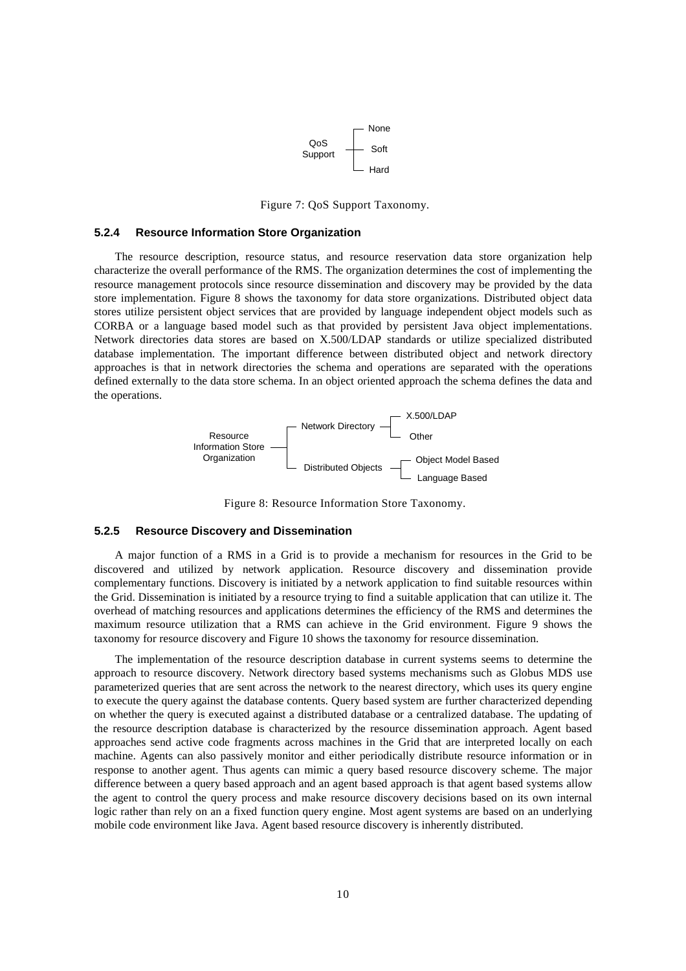

Figure 7: QoS Support Taxonomy.

### **5.2.4 Resource Information Store Organization**

The resource description, resource status, and resource reservation data store organization help characterize the overall performance of the RMS. The organization determines the cost of implementing the resource management protocols since resource dissemination and discovery may be provided by the data store implementation. Figure 8 shows the taxonomy for data store organizations. Distributed object data stores utilize persistent object services that are provided by language independent object models such as CORBA or a language based model such as that provided by persistent Java object implementations. Network directories data stores are based on X.500/LDAP standards or utilize specialized distributed database implementation. The important difference between distributed object and network directory approaches is that in network directories the schema and operations are separated with the operations defined externally to the data store schema. In an object oriented approach the schema defines the data and the operations.



Figure 8: Resource Information Store Taxonomy.

#### **5.2.5 Resource Discovery and Dissemination**

A major function of a RMS in a Grid is to provide a mechanism for resources in the Grid to be discovered and utilized by network application. Resource discovery and dissemination provide complementary functions. Discovery is initiated by a network application to find suitable resources within the Grid. Dissemination is initiated by a resource trying to find a suitable application that can utilize it. The overhead of matching resources and applications determines the efficiency of the RMS and determines the maximum resource utilization that a RMS can achieve in the Grid environment. Figure 9 shows the taxonomy for resource discovery and Figure 10 shows the taxonomy for resource dissemination.

The implementation of the resource description database in current systems seems to determine the approach to resource discovery. Network directory based systems mechanisms such as Globus MDS use parameterized queries that are sent across the network to the nearest directory, which uses its query engine to execute the query against the database contents. Query based system are further characterized depending on whether the query is executed against a distributed database or a centralized database. The updating of the resource description database is characterized by the resource dissemination approach. Agent based approaches send active code fragments across machines in the Grid that are interpreted locally on each machine. Agents can also passively monitor and either periodically distribute resource information or in response to another agent. Thus agents can mimic a query based resource discovery scheme. The major difference between a query based approach and an agent based approach is that agent based systems allow the agent to control the query process and make resource discovery decisions based on its own internal logic rather than rely on an a fixed function query engine. Most agent systems are based on an underlying mobile code environment like Java. Agent based resource discovery is inherently distributed.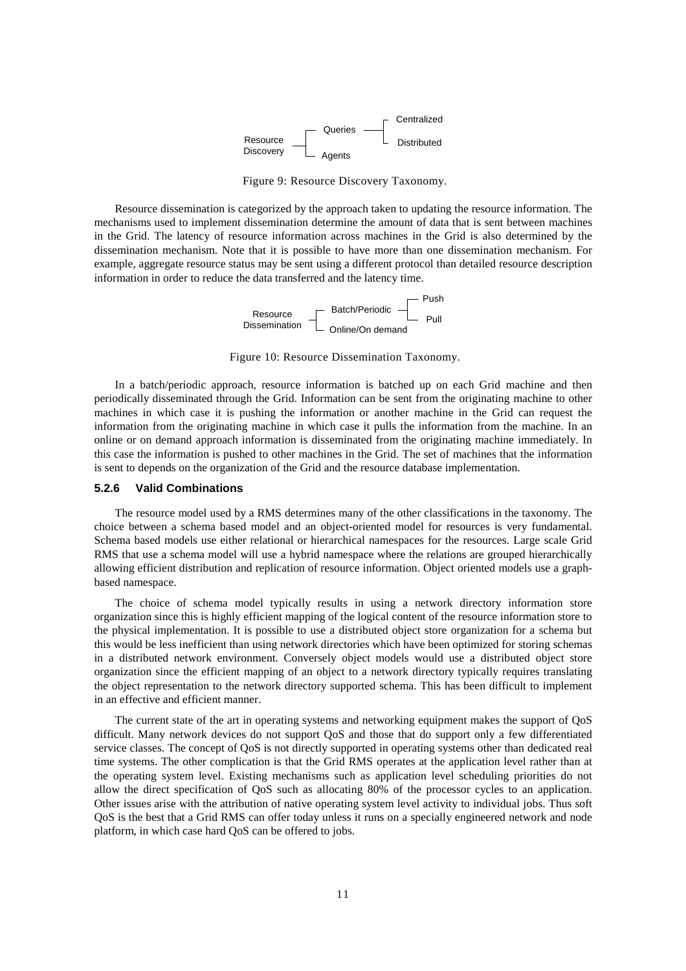

Figure 9: Resource Discovery Taxonomy.

Resource dissemination is categorized by the approach taken to updating the resource information. The mechanisms used to implement dissemination determine the amount of data that is sent between machines in the Grid. The latency of resource information across machines in the Grid is also determined by the dissemination mechanism. Note that it is possible to have more than one dissemination mechanism. For example, aggregate resource status may be sent using a different protocol than detailed resource description information in order to reduce the data transferred and the latency time.

> Resource <sub>F</sub> Batch/Periodic Dissemination L Online/On demand Push Pull

Figure 10: Resource Dissemination Taxonomy.

In a batch/periodic approach, resource information is batched up on each Grid machine and then periodically disseminated through the Grid. Information can be sent from the originating machine to other machines in which case it is pushing the information or another machine in the Grid can request the information from the originating machine in which case it pulls the information from the machine. In an online or on demand approach information is disseminated from the originating machine immediately. In this case the information is pushed to other machines in the Grid. The set of machines that the information is sent to depends on the organization of the Grid and the resource database implementation.

# **5.2.6 Valid Combinations**

The resource model used by a RMS determines many of the other classifications in the taxonomy. The choice between a schema based model and an object-oriented model for resources is very fundamental. Schema based models use either relational or hierarchical namespaces for the resources. Large scale Grid RMS that use a schema model will use a hybrid namespace where the relations are grouped hierarchically allowing efficient distribution and replication of resource information. Object oriented models use a graphbased namespace.

The choice of schema model typically results in using a network directory information store organization since this is highly efficient mapping of the logical content of the resource information store to the physical implementation. It is possible to use a distributed object store organization for a schema but this would be less inefficient than using network directories which have been optimized for storing schemas in a distributed network environment. Conversely object models would use a distributed object store organization since the efficient mapping of an object to a network directory typically requires translating the object representation to the network directory supported schema. This has been difficult to implement in an effective and efficient manner.

The current state of the art in operating systems and networking equipment makes the support of QoS difficult. Many network devices do not support QoS and those that do support only a few differentiated service classes. The concept of QoS is not directly supported in operating systems other than dedicated real time systems. The other complication is that the Grid RMS operates at the application level rather than at the operating system level. Existing mechanisms such as application level scheduling priorities do not allow the direct specification of QoS such as allocating 80% of the processor cycles to an application. Other issues arise with the attribution of native operating system level activity to individual jobs. Thus soft QoS is the best that a Grid RMS can offer today unless it runs on a specially engineered network and node platform, in which case hard QoS can be offered to jobs.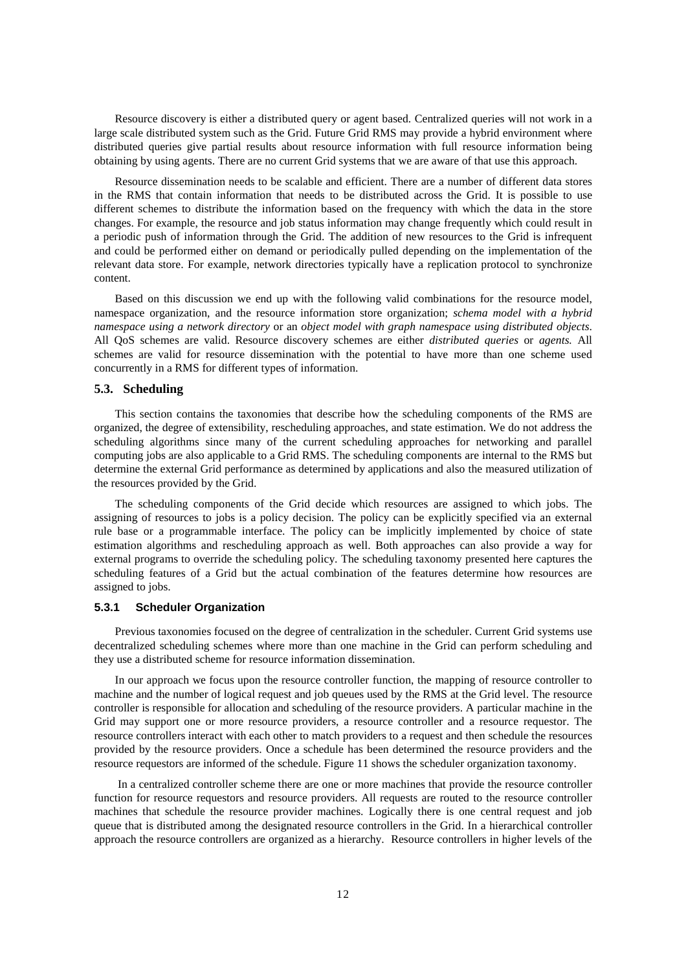Resource discovery is either a distributed query or agent based. Centralized queries will not work in a large scale distributed system such as the Grid. Future Grid RMS may provide a hybrid environment where distributed queries give partial results about resource information with full resource information being obtaining by using agents. There are no current Grid systems that we are aware of that use this approach.

Resource dissemination needs to be scalable and efficient. There are a number of different data stores in the RMS that contain information that needs to be distributed across the Grid. It is possible to use different schemes to distribute the information based on the frequency with which the data in the store changes. For example, the resource and job status information may change frequently which could result in a periodic push of information through the Grid. The addition of new resources to the Grid is infrequent and could be performed either on demand or periodically pulled depending on the implementation of the relevant data store. For example, network directories typically have a replication protocol to synchronize content.

Based on this discussion we end up with the following valid combinations for the resource model, namespace organization, and the resource information store organization; *schema model with a hybrid namespace using a network directory* or an *object model with graph namespace using distributed objects*. All QoS schemes are valid. Resource discovery schemes are either *distributed queries* or *agents.* All schemes are valid for resource dissemination with the potential to have more than one scheme used concurrently in a RMS for different types of information.

# **5.3. Scheduling**

This section contains the taxonomies that describe how the scheduling components of the RMS are organized, the degree of extensibility, rescheduling approaches, and state estimation. We do not address the scheduling algorithms since many of the current scheduling approaches for networking and parallel computing jobs are also applicable to a Grid RMS. The scheduling components are internal to the RMS but determine the external Grid performance as determined by applications and also the measured utilization of the resources provided by the Grid.

The scheduling components of the Grid decide which resources are assigned to which jobs. The assigning of resources to jobs is a policy decision. The policy can be explicitly specified via an external rule base or a programmable interface. The policy can be implicitly implemented by choice of state estimation algorithms and rescheduling approach as well. Both approaches can also provide a way for external programs to override the scheduling policy. The scheduling taxonomy presented here captures the scheduling features of a Grid but the actual combination of the features determine how resources are assigned to jobs.

#### **5.3.1 Scheduler Organization**

Previous taxonomies focused on the degree of centralization in the scheduler. Current Grid systems use decentralized scheduling schemes where more than one machine in the Grid can perform scheduling and they use a distributed scheme for resource information dissemination.

In our approach we focus upon the resource controller function, the mapping of resource controller to machine and the number of logical request and job queues used by the RMS at the Grid level. The resource controller is responsible for allocation and scheduling of the resource providers. A particular machine in the Grid may support one or more resource providers, a resource controller and a resource requestor. The resource controllers interact with each other to match providers to a request and then schedule the resources provided by the resource providers. Once a schedule has been determined the resource providers and the resource requestors are informed of the schedule. Figure 11 shows the scheduler organization taxonomy.

 In a centralized controller scheme there are one or more machines that provide the resource controller function for resource requestors and resource providers. All requests are routed to the resource controller machines that schedule the resource provider machines. Logically there is one central request and job queue that is distributed among the designated resource controllers in the Grid. In a hierarchical controller approach the resource controllers are organized as a hierarchy. Resource controllers in higher levels of the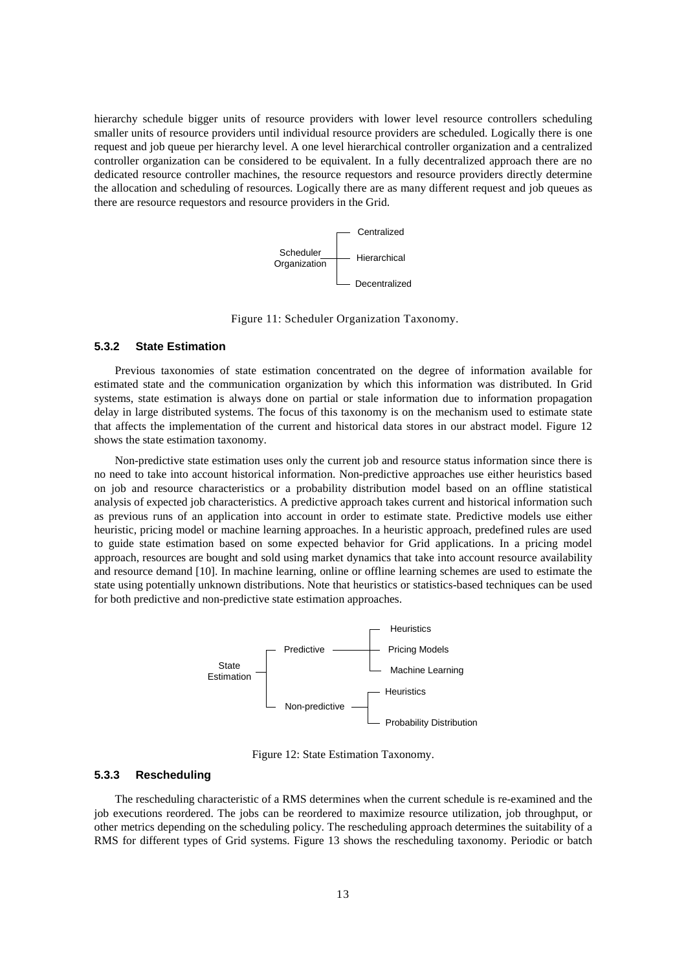hierarchy schedule bigger units of resource providers with lower level resource controllers scheduling smaller units of resource providers until individual resource providers are scheduled. Logically there is one request and job queue per hierarchy level. A one level hierarchical controller organization and a centralized controller organization can be considered to be equivalent. In a fully decentralized approach there are no dedicated resource controller machines, the resource requestors and resource providers directly determine the allocation and scheduling of resources. Logically there are as many different request and job queues as there are resource requestors and resource providers in the Grid.



Figure 11: Scheduler Organization Taxonomy.

### **5.3.2 State Estimation**

Previous taxonomies of state estimation concentrated on the degree of information available for estimated state and the communication organization by which this information was distributed. In Grid systems, state estimation is always done on partial or stale information due to information propagation delay in large distributed systems. The focus of this taxonomy is on the mechanism used to estimate state that affects the implementation of the current and historical data stores in our abstract model. Figure 12 shows the state estimation taxonomy.

Non-predictive state estimation uses only the current job and resource status information since there is no need to take into account historical information. Non-predictive approaches use either heuristics based on job and resource characteristics or a probability distribution model based on an offline statistical analysis of expected job characteristics. A predictive approach takes current and historical information such as previous runs of an application into account in order to estimate state. Predictive models use either heuristic, pricing model or machine learning approaches. In a heuristic approach, predefined rules are used to guide state estimation based on some expected behavior for Grid applications. In a pricing model approach, resources are bought and sold using market dynamics that take into account resource availability and resource demand [10]. In machine learning, online or offline learning schemes are used to estimate the state using potentially unknown distributions. Note that heuristics or statistics-based techniques can be used for both predictive and non-predictive state estimation approaches.



Figure 12: State Estimation Taxonomy.

# **5.3.3 Rescheduling**

The rescheduling characteristic of a RMS determines when the current schedule is re-examined and the job executions reordered. The jobs can be reordered to maximize resource utilization, job throughput, or other metrics depending on the scheduling policy. The rescheduling approach determines the suitability of a RMS for different types of Grid systems. Figure 13 shows the rescheduling taxonomy. Periodic or batch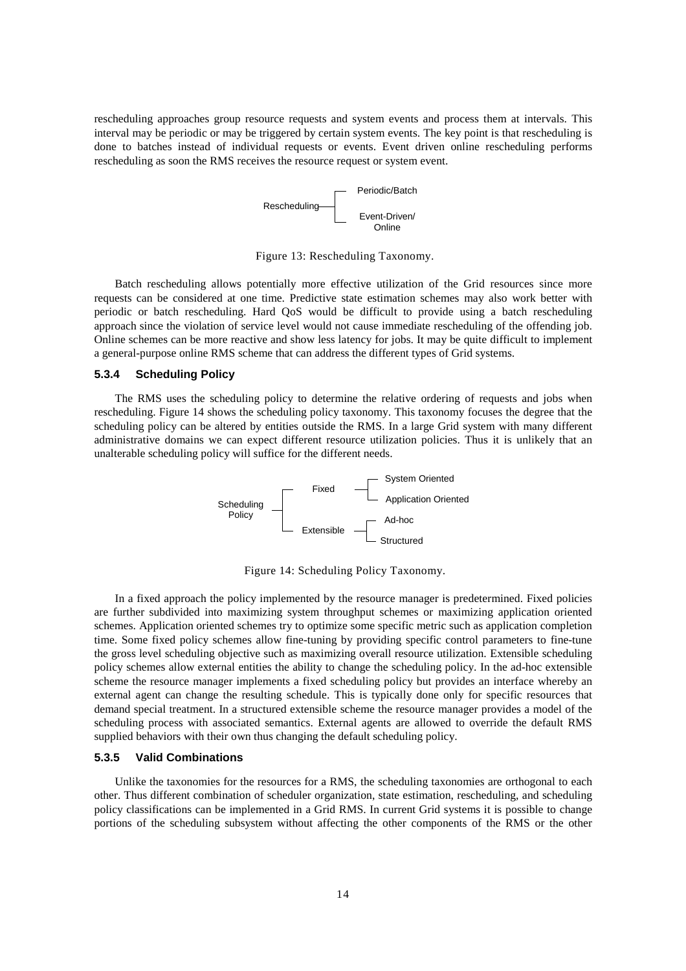rescheduling approaches group resource requests and system events and process them at intervals. This interval may be periodic or may be triggered by certain system events. The key point is that rescheduling is done to batches instead of individual requests or events. Event driven online rescheduling performs rescheduling as soon the RMS receives the resource request or system event.



Figure 13: Rescheduling Taxonomy.

Batch rescheduling allows potentially more effective utilization of the Grid resources since more requests can be considered at one time. Predictive state estimation schemes may also work better with periodic or batch rescheduling. Hard QoS would be difficult to provide using a batch rescheduling approach since the violation of service level would not cause immediate rescheduling of the offending job. Online schemes can be more reactive and show less latency for jobs. It may be quite difficult to implement a general-purpose online RMS scheme that can address the different types of Grid systems.

# **5.3.4 Scheduling Policy**

The RMS uses the scheduling policy to determine the relative ordering of requests and jobs when rescheduling. Figure 14 shows the scheduling policy taxonomy. This taxonomy focuses the degree that the scheduling policy can be altered by entities outside the RMS. In a large Grid system with many different administrative domains we can expect different resource utilization policies. Thus it is unlikely that an unalterable scheduling policy will suffice for the different needs.



Figure 14: Scheduling Policy Taxonomy.

In a fixed approach the policy implemented by the resource manager is predetermined. Fixed policies are further subdivided into maximizing system throughput schemes or maximizing application oriented schemes. Application oriented schemes try to optimize some specific metric such as application completion time. Some fixed policy schemes allow fine-tuning by providing specific control parameters to fine-tune the gross level scheduling objective such as maximizing overall resource utilization. Extensible scheduling policy schemes allow external entities the ability to change the scheduling policy. In the ad-hoc extensible scheme the resource manager implements a fixed scheduling policy but provides an interface whereby an external agent can change the resulting schedule. This is typically done only for specific resources that demand special treatment. In a structured extensible scheme the resource manager provides a model of the scheduling process with associated semantics. External agents are allowed to override the default RMS supplied behaviors with their own thus changing the default scheduling policy.

# **5.3.5 Valid Combinations**

Unlike the taxonomies for the resources for a RMS, the scheduling taxonomies are orthogonal to each other. Thus different combination of scheduler organization, state estimation, rescheduling, and scheduling policy classifications can be implemented in a Grid RMS. In current Grid systems it is possible to change portions of the scheduling subsystem without affecting the other components of the RMS or the other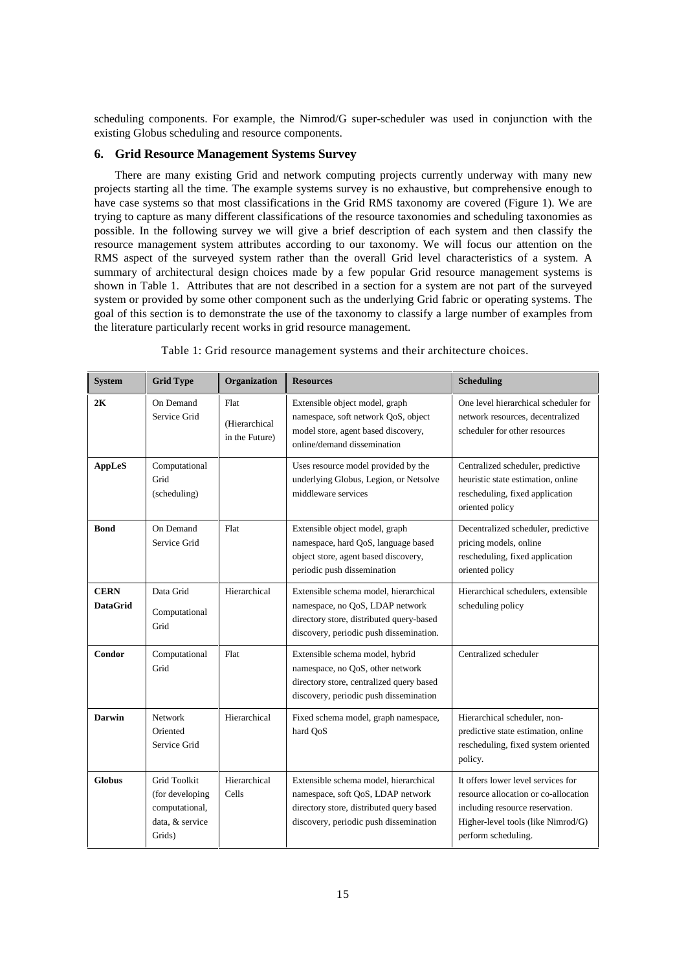scheduling components. For example, the Nimrod/G super-scheduler was used in conjunction with the existing Globus scheduling and resource components.

# **6. Grid Resource Management Systems Survey**

There are many existing Grid and network computing projects currently underway with many new projects starting all the time. The example systems survey is no exhaustive, but comprehensive enough to have case systems so that most classifications in the Grid RMS taxonomy are covered (Figure 1). We are trying to capture as many different classifications of the resource taxonomies and scheduling taxonomies as possible. In the following survey we will give a brief description of each system and then classify the resource management system attributes according to our taxonomy. We will focus our attention on the RMS aspect of the surveyed system rather than the overall Grid level characteristics of a system. A summary of architectural design choices made by a few popular Grid resource management systems is shown in Table 1. Attributes that are not described in a section for a system are not part of the surveyed system or provided by some other component such as the underlying Grid fabric or operating systems. The goal of this section is to demonstrate the use of the taxonomy to classify a large number of examples from the literature particularly recent works in grid resource management.

| <b>System</b>                  | <b>Grid Type</b>                                                                      | Organization                            | <b>Resources</b>                                                                                                                                                 | <b>Scheduling</b>                                                                                                                                                          |
|--------------------------------|---------------------------------------------------------------------------------------|-----------------------------------------|------------------------------------------------------------------------------------------------------------------------------------------------------------------|----------------------------------------------------------------------------------------------------------------------------------------------------------------------------|
| 2K                             | On Demand<br>Service Grid                                                             | Flat<br>(Hierarchical<br>in the Future) | Extensible object model, graph<br>namespace, soft network QoS, object<br>model store, agent based discovery,<br>online/demand dissemination                      | One level hierarchical scheduler for<br>network resources, decentralized<br>scheduler for other resources                                                                  |
| AppLeS                         | Computational<br>Grid<br>(scheduling)                                                 |                                         | Uses resource model provided by the<br>underlying Globus, Legion, or Netsolve<br>middleware services                                                             | Centralized scheduler, predictive<br>heuristic state estimation, online<br>rescheduling, fixed application<br>oriented policy                                              |
| <b>Bond</b>                    | On Demand<br>Service Grid                                                             | Flat                                    | Extensible object model, graph<br>namespace, hard QoS, language based<br>object store, agent based discovery,<br>periodic push dissemination                     | Decentralized scheduler, predictive<br>pricing models, online<br>rescheduling, fixed application<br>oriented policy                                                        |
| <b>CERN</b><br><b>DataGrid</b> | Data Grid<br>Computational<br>Grid                                                    | Hierarchical                            | Extensible schema model, hierarchical<br>namespace, no QoS, LDAP network<br>directory store, distributed query-based<br>discovery, periodic push dissemination.  | Hierarchical schedulers, extensible<br>scheduling policy                                                                                                                   |
| Condor                         | Computational<br>Grid                                                                 | Flat                                    | Extensible schema model, hybrid<br>namespace, no QoS, other network<br>directory store, centralized query based<br>discovery, periodic push dissemination        | Centralized scheduler                                                                                                                                                      |
| Darwin                         | <b>Network</b><br>Oriented<br>Service Grid                                            | Hierarchical                            | Fixed schema model, graph namespace,<br>hard QoS                                                                                                                 | Hierarchical scheduler, non-<br>predictive state estimation, online<br>rescheduling, fixed system oriented<br>policy.                                                      |
| <b>Globus</b>                  | <b>Grid Toolkit</b><br>(for developing<br>computational,<br>data, & service<br>Grids) | Hierarchical<br>Cells                   | Extensible schema model, hierarchical<br>namespace, soft QoS, LDAP network<br>directory store, distributed query based<br>discovery, periodic push dissemination | It offers lower level services for<br>resource allocation or co-allocation<br>including resource reservation.<br>Higher-level tools (like Nimrod/G)<br>perform scheduling. |

Table 1: Grid resource management systems and their architecture choices.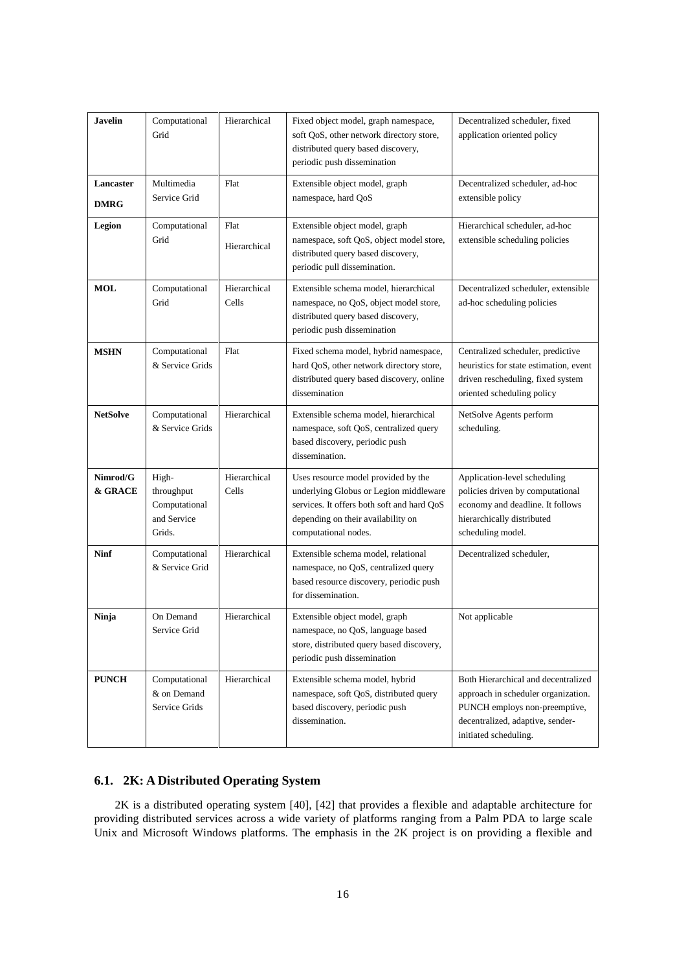| <b>Javelin</b>           | Computational<br>Grid                                         | Hierarchical          | Fixed object model, graph namespace,<br>soft QoS, other network directory store,<br>distributed query based discovery,<br>periodic push dissemination                                     | Decentralized scheduler, fixed<br>application oriented policy                                                                                                            |
|--------------------------|---------------------------------------------------------------|-----------------------|-------------------------------------------------------------------------------------------------------------------------------------------------------------------------------------------|--------------------------------------------------------------------------------------------------------------------------------------------------------------------------|
| Lancaster<br><b>DMRG</b> | Multimedia<br>Service Grid                                    | Flat                  | Extensible object model, graph<br>namespace, hard QoS                                                                                                                                     | Decentralized scheduler, ad-hoc<br>extensible policy                                                                                                                     |
| Legion                   | Computational<br>Grid                                         | Flat<br>Hierarchical  | Extensible object model, graph<br>namespace, soft QoS, object model store,<br>distributed query based discovery,<br>periodic pull dissemination.                                          | Hierarchical scheduler, ad-hoc<br>extensible scheduling policies                                                                                                         |
| <b>MOL</b>               | Computational<br>Grid                                         | Hierarchical<br>Cells | Extensible schema model, hierarchical<br>namespace, no QoS, object model store,<br>distributed query based discovery,<br>periodic push dissemination                                      | Decentralized scheduler, extensible<br>ad-hoc scheduling policies                                                                                                        |
| <b>MSHN</b>              | Computational<br>& Service Grids                              | Flat                  | Fixed schema model, hybrid namespace,<br>hard QoS, other network directory store,<br>distributed query based discovery, online<br>dissemination                                           | Centralized scheduler, predictive<br>heuristics for state estimation, event<br>driven rescheduling, fixed system<br>oriented scheduling policy                           |
| <b>NetSolve</b>          | Computational<br>& Service Grids                              | Hierarchical          | Extensible schema model, hierarchical<br>namespace, soft QoS, centralized query<br>based discovery, periodic push<br>dissemination.                                                       | NetSolve Agents perform<br>scheduling.                                                                                                                                   |
| Nimrod/G<br>& GRACE      | High-<br>throughput<br>Computational<br>and Service<br>Grids. | Hierarchical<br>Cells | Uses resource model provided by the<br>underlying Globus or Legion middleware<br>services. It offers both soft and hard QoS<br>depending on their availability on<br>computational nodes. | Application-level scheduling<br>policies driven by computational<br>economy and deadline. It follows<br>hierarchically distributed<br>scheduling model.                  |
| <b>Ninf</b>              | Computational<br>& Service Grid                               | Hierarchical          | Extensible schema model, relational<br>namespace, no QoS, centralized query<br>based resource discovery, periodic push<br>for dissemination.                                              | Decentralized scheduler,                                                                                                                                                 |
| Ninja                    | On Demand<br>Service Grid                                     | Hierarchical          | Extensible object model, graph<br>namespace, no QoS, language based<br>store, distributed query based discovery,<br>periodic push dissemination                                           | Not applicable                                                                                                                                                           |
| <b>PUNCH</b>             | Computational<br>& on Demand<br>Service Grids                 | Hierarchical          | Extensible schema model, hybrid<br>namespace, soft QoS, distributed query<br>based discovery, periodic push<br>dissemination.                                                             | Both Hierarchical and decentralized<br>approach in scheduler organization.<br>PUNCH employs non-preemptive,<br>decentralized, adaptive, sender-<br>initiated scheduling. |

# **6.1. 2K: A Distributed Operating System**

2K is a distributed operating system [40], [42] that provides a flexible and adaptable architecture for providing distributed services across a wide variety of platforms ranging from a Palm PDA to large scale Unix and Microsoft Windows platforms. The emphasis in the 2K project is on providing a flexible and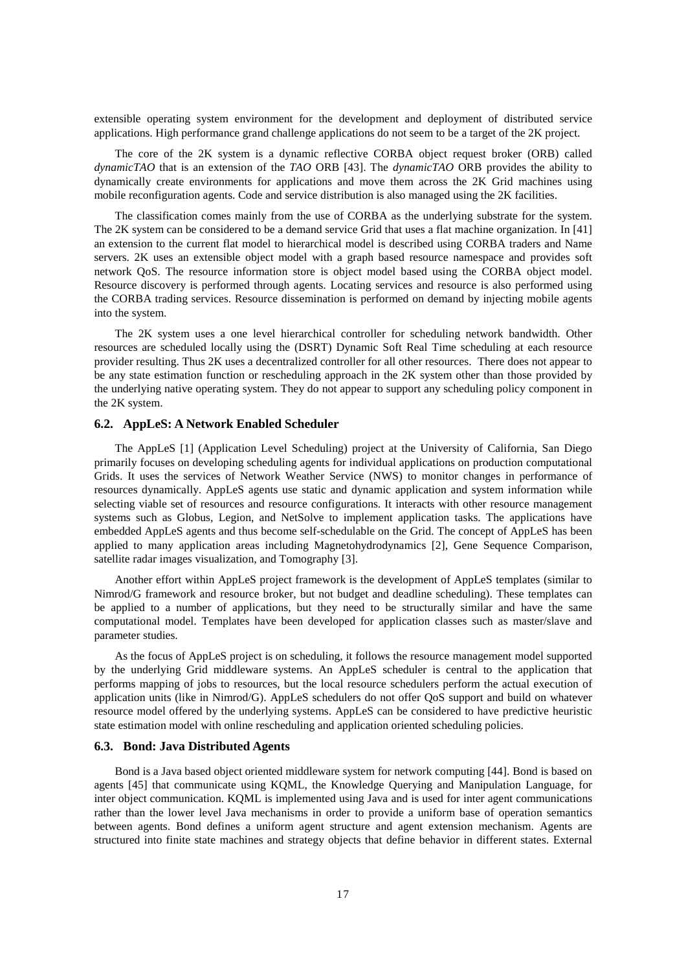extensible operating system environment for the development and deployment of distributed service applications. High performance grand challenge applications do not seem to be a target of the 2K project.

The core of the 2K system is a dynamic reflective CORBA object request broker (ORB) called *dynamicTAO* that is an extension of the *TAO* ORB [43]. The *dynamicTAO* ORB provides the ability to dynamically create environments for applications and move them across the 2K Grid machines using mobile reconfiguration agents. Code and service distribution is also managed using the 2K facilities.

The classification comes mainly from the use of CORBA as the underlying substrate for the system. The 2K system can be considered to be a demand service Grid that uses a flat machine organization. In [41] an extension to the current flat model to hierarchical model is described using CORBA traders and Name servers. 2K uses an extensible object model with a graph based resource namespace and provides soft network QoS. The resource information store is object model based using the CORBA object model. Resource discovery is performed through agents. Locating services and resource is also performed using the CORBA trading services. Resource dissemination is performed on demand by injecting mobile agents into the system.

The 2K system uses a one level hierarchical controller for scheduling network bandwidth. Other resources are scheduled locally using the (DSRT) Dynamic Soft Real Time scheduling at each resource provider resulting. Thus 2K uses a decentralized controller for all other resources. There does not appear to be any state estimation function or rescheduling approach in the 2K system other than those provided by the underlying native operating system. They do not appear to support any scheduling policy component in the 2K system.

# **6.2. AppLeS: A Network Enabled Scheduler**

The AppLeS [1] (Application Level Scheduling) project at the University of California, San Diego primarily focuses on developing scheduling agents for individual applications on production computational Grids. It uses the services of Network Weather Service (NWS) to monitor changes in performance of resources dynamically. AppLeS agents use static and dynamic application and system information while selecting viable set of resources and resource configurations. It interacts with other resource management systems such as Globus, Legion, and NetSolve to implement application tasks. The applications have embedded AppLeS agents and thus become self-schedulable on the Grid. The concept of AppLeS has been applied to many application areas including Magnetohydrodynamics [2], Gene Sequence Comparison, satellite radar images visualization, and Tomography [3].

Another effort within AppLeS project framework is the development of AppLeS templates (similar to Nimrod/G framework and resource broker, but not budget and deadline scheduling). These templates can be applied to a number of applications, but they need to be structurally similar and have the same computational model. Templates have been developed for application classes such as master/slave and parameter studies.

As the focus of AppLeS project is on scheduling, it follows the resource management model supported by the underlying Grid middleware systems. An AppLeS scheduler is central to the application that performs mapping of jobs to resources, but the local resource schedulers perform the actual execution of application units (like in Nimrod/G). AppLeS schedulers do not offer QoS support and build on whatever resource model offered by the underlying systems. AppLeS can be considered to have predictive heuristic state estimation model with online rescheduling and application oriented scheduling policies.

# **6.3. Bond: Java Distributed Agents**

Bond is a Java based object oriented middleware system for network computing [44]. Bond is based on agents [45] that communicate using KQML, the Knowledge Querying and Manipulation Language, for inter object communication. KQML is implemented using Java and is used for inter agent communications rather than the lower level Java mechanisms in order to provide a uniform base of operation semantics between agents. Bond defines a uniform agent structure and agent extension mechanism. Agents are structured into finite state machines and strategy objects that define behavior in different states. External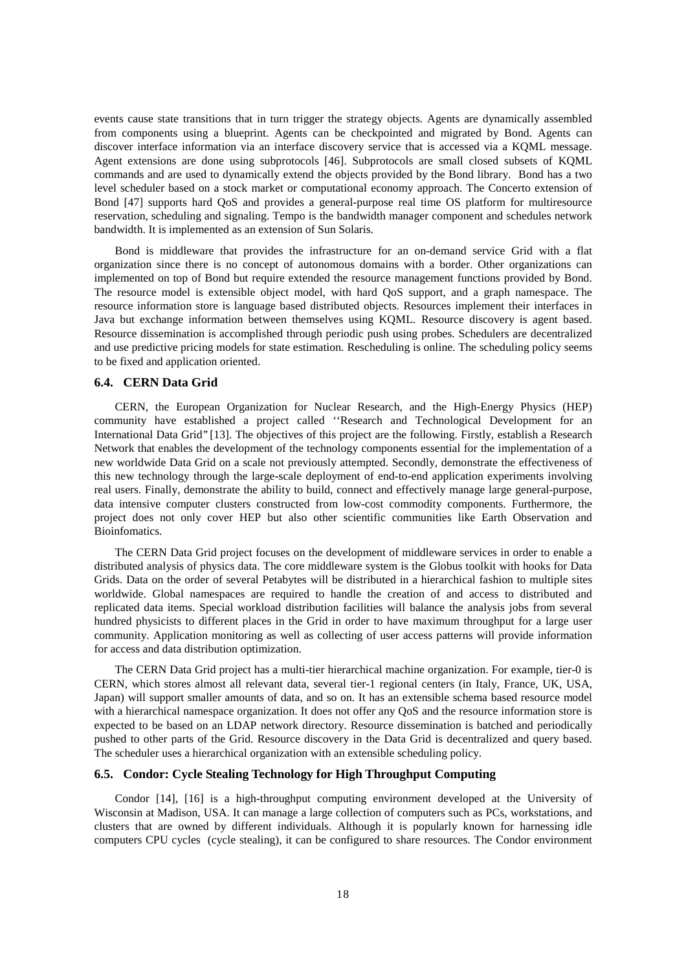events cause state transitions that in turn trigger the strategy objects. Agents are dynamically assembled from components using a blueprint. Agents can be checkpointed and migrated by Bond. Agents can discover interface information via an interface discovery service that is accessed via a KQML message. Agent extensions are done using subprotocols [46]. Subprotocols are small closed subsets of KQML commands and are used to dynamically extend the objects provided by the Bond library. Bond has a two level scheduler based on a stock market or computational economy approach. The Concerto extension of Bond [47] supports hard QoS and provides a general-purpose real time OS platform for multiresource reservation, scheduling and signaling. Tempo is the bandwidth manager component and schedules network bandwidth. It is implemented as an extension of Sun Solaris.

Bond is middleware that provides the infrastructure for an on-demand service Grid with a flat organization since there is no concept of autonomous domains with a border. Other organizations can implemented on top of Bond but require extended the resource management functions provided by Bond. The resource model is extensible object model, with hard QoS support, and a graph namespace. The resource information store is language based distributed objects. Resources implement their interfaces in Java but exchange information between themselves using KQML. Resource discovery is agent based. Resource dissemination is accomplished through periodic push using probes. Schedulers are decentralized and use predictive pricing models for state estimation. Rescheduling is online. The scheduling policy seems to be fixed and application oriented.

# **6.4. CERN Data Grid**

CERN, the European Organization for Nuclear Research, and the High-Energy Physics (HEP) community have established a project called ''Research and Technological Development for an International Data Grid'' [13]. The objectives of this project are the following. Firstly, establish a Research Network that enables the development of the technology components essential for the implementation of a new worldwide Data Grid on a scale not previously attempted. Secondly, demonstrate the effectiveness of this new technology through the large-scale deployment of end-to-end application experiments involving real users. Finally, demonstrate the ability to build, connect and effectively manage large general-purpose, data intensive computer clusters constructed from low-cost commodity components. Furthermore, the project does not only cover HEP but also other scientific communities like Earth Observation and Bioinfomatics.

The CERN Data Grid project focuses on the development of middleware services in order to enable a distributed analysis of physics data. The core middleware system is the Globus toolkit with hooks for Data Grids. Data on the order of several Petabytes will be distributed in a hierarchical fashion to multiple sites worldwide. Global namespaces are required to handle the creation of and access to distributed and replicated data items. Special workload distribution facilities will balance the analysis jobs from several hundred physicists to different places in the Grid in order to have maximum throughput for a large user community. Application monitoring as well as collecting of user access patterns will provide information for access and data distribution optimization.

The CERN Data Grid project has a multi-tier hierarchical machine organization. For example, tier-0 is CERN, which stores almost all relevant data, several tier-1 regional centers (in Italy, France, UK, USA, Japan) will support smaller amounts of data, and so on. It has an extensible schema based resource model with a hierarchical namespace organization. It does not offer any QoS and the resource information store is expected to be based on an LDAP network directory. Resource dissemination is batched and periodically pushed to other parts of the Grid. Resource discovery in the Data Grid is decentralized and query based. The scheduler uses a hierarchical organization with an extensible scheduling policy.

# **6.5. Condor: Cycle Stealing Technology for High Throughput Computing**

Condor [14], [16] is a high-throughput computing environment developed at the University of Wisconsin at Madison, USA. It can manage a large collection of computers such as PCs, workstations, and clusters that are owned by different individuals. Although it is popularly known for harnessing idle computers CPU cycles (cycle stealing), it can be configured to share resources. The Condor environment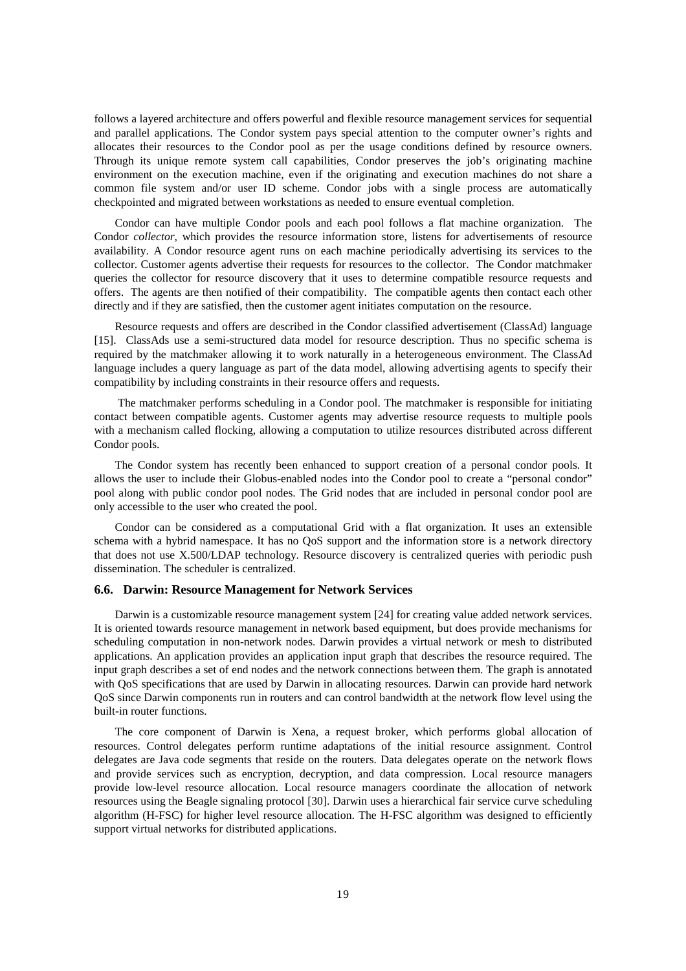follows a layered architecture and offers powerful and flexible resource management services for sequential and parallel applications. The Condor system pays special attention to the computer owner's rights and allocates their resources to the Condor pool as per the usage conditions defined by resource owners. Through its unique remote system call capabilities, Condor preserves the job's originating machine environment on the execution machine, even if the originating and execution machines do not share a common file system and/or user ID scheme. Condor jobs with a single process are automatically checkpointed and migrated between workstations as needed to ensure eventual completion.

Condor can have multiple Condor pools and each pool follows a flat machine organization. The Condor *collector*, which provides the resource information store, listens for advertisements of resource availability. A Condor resource agent runs on each machine periodically advertising its services to the collector. Customer agents advertise their requests for resources to the collector. The Condor matchmaker queries the collector for resource discovery that it uses to determine compatible resource requests and offers. The agents are then notified of their compatibility. The compatible agents then contact each other directly and if they are satisfied, then the customer agent initiates computation on the resource.

Resource requests and offers are described in the Condor classified advertisement (ClassAd) language [15]. ClassAds use a semi-structured data model for resource description. Thus no specific schema is required by the matchmaker allowing it to work naturally in a heterogeneous environment. The ClassAd language includes a query language as part of the data model, allowing advertising agents to specify their compatibility by including constraints in their resource offers and requests.

 The matchmaker performs scheduling in a Condor pool. The matchmaker is responsible for initiating contact between compatible agents. Customer agents may advertise resource requests to multiple pools with a mechanism called flocking, allowing a computation to utilize resources distributed across different Condor pools.

The Condor system has recently been enhanced to support creation of a personal condor pools. It allows the user to include their Globus-enabled nodes into the Condor pool to create a "personal condor" pool along with public condor pool nodes. The Grid nodes that are included in personal condor pool are only accessible to the user who created the pool.

Condor can be considered as a computational Grid with a flat organization. It uses an extensible schema with a hybrid namespace. It has no QoS support and the information store is a network directory that does not use X.500/LDAP technology. Resource discovery is centralized queries with periodic push dissemination. The scheduler is centralized.

# **6.6. Darwin: Resource Management for Network Services**

Darwin is a customizable resource management system [24] for creating value added network services. It is oriented towards resource management in network based equipment, but does provide mechanisms for scheduling computation in non-network nodes. Darwin provides a virtual network or mesh to distributed applications. An application provides an application input graph that describes the resource required. The input graph describes a set of end nodes and the network connections between them. The graph is annotated with QoS specifications that are used by Darwin in allocating resources. Darwin can provide hard network QoS since Darwin components run in routers and can control bandwidth at the network flow level using the built-in router functions.

The core component of Darwin is Xena, a request broker, which performs global allocation of resources. Control delegates perform runtime adaptations of the initial resource assignment. Control delegates are Java code segments that reside on the routers. Data delegates operate on the network flows and provide services such as encryption, decryption, and data compression. Local resource managers provide low-level resource allocation. Local resource managers coordinate the allocation of network resources using the Beagle signaling protocol [30]. Darwin uses a hierarchical fair service curve scheduling algorithm (H-FSC) for higher level resource allocation. The H-FSC algorithm was designed to efficiently support virtual networks for distributed applications.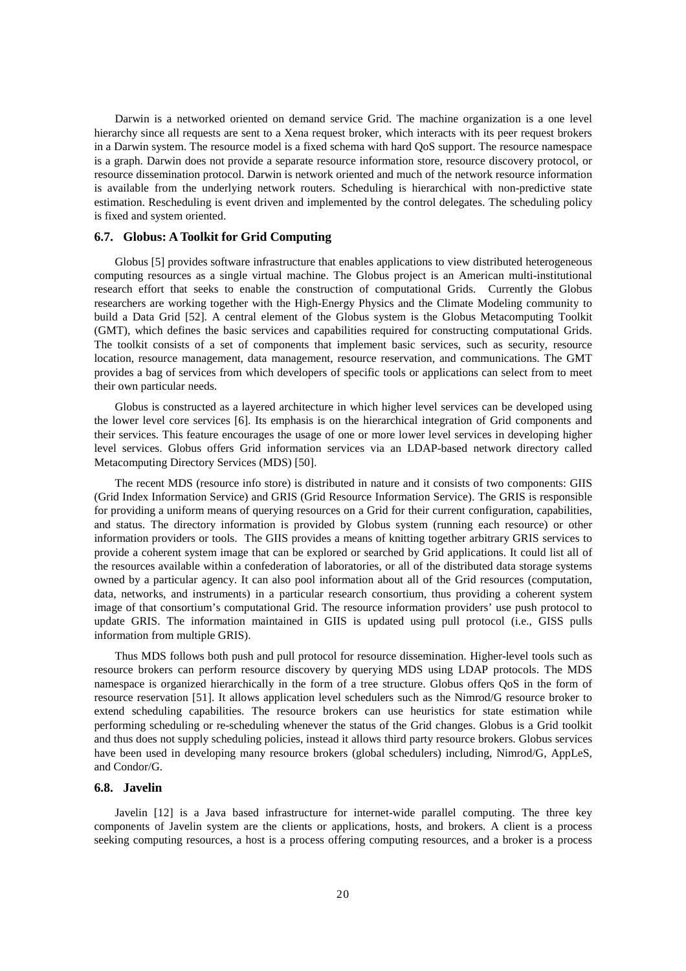Darwin is a networked oriented on demand service Grid. The machine organization is a one level hierarchy since all requests are sent to a Xena request broker, which interacts with its peer request brokers in a Darwin system. The resource model is a fixed schema with hard QoS support. The resource namespace is a graph. Darwin does not provide a separate resource information store, resource discovery protocol, or resource dissemination protocol. Darwin is network oriented and much of the network resource information is available from the underlying network routers. Scheduling is hierarchical with non-predictive state estimation. Rescheduling is event driven and implemented by the control delegates. The scheduling policy is fixed and system oriented.

# **6.7. Globus: A Toolkit for Grid Computing**

Globus [5] provides software infrastructure that enables applications to view distributed heterogeneous computing resources as a single virtual machine. The Globus project is an American multi-institutional research effort that seeks to enable the construction of computational Grids. Currently the Globus researchers are working together with the High-Energy Physics and the Climate Modeling community to build a Data Grid [52]. A central element of the Globus system is the Globus Metacomputing Toolkit (GMT), which defines the basic services and capabilities required for constructing computational Grids. The toolkit consists of a set of components that implement basic services, such as security, resource location, resource management, data management, resource reservation, and communications. The GMT provides a bag of services from which developers of specific tools or applications can select from to meet their own particular needs.

Globus is constructed as a layered architecture in which higher level services can be developed using the lower level core services [6]. Its emphasis is on the hierarchical integration of Grid components and their services. This feature encourages the usage of one or more lower level services in developing higher level services. Globus offers Grid information services via an LDAP-based network directory called Metacomputing Directory Services (MDS) [50].

The recent MDS (resource info store) is distributed in nature and it consists of two components: GIIS (Grid Index Information Service) and GRIS (Grid Resource Information Service). The GRIS is responsible for providing a uniform means of querying resources on a Grid for their current configuration, capabilities, and status. The directory information is provided by Globus system (running each resource) or other information providers or tools. The GIIS provides a means of knitting together arbitrary GRIS services to provide a coherent system image that can be explored or searched by Grid applications. It could list all of the resources available within a confederation of laboratories, or all of the distributed data storage systems owned by a particular agency. It can also pool information about all of the Grid resources (computation, data, networks, and instruments) in a particular research consortium, thus providing a coherent system image of that consortium's computational Grid. The resource information providers' use push protocol to update GRIS. The information maintained in GIIS is updated using pull protocol (i.e., GISS pulls information from multiple GRIS).

Thus MDS follows both push and pull protocol for resource dissemination. Higher-level tools such as resource brokers can perform resource discovery by querying MDS using LDAP protocols. The MDS namespace is organized hierarchically in the form of a tree structure. Globus offers QoS in the form of resource reservation [51]. It allows application level schedulers such as the Nimrod/G resource broker to extend scheduling capabilities. The resource brokers can use heuristics for state estimation while performing scheduling or re-scheduling whenever the status of the Grid changes. Globus is a Grid toolkit and thus does not supply scheduling policies, instead it allows third party resource brokers. Globus services have been used in developing many resource brokers (global schedulers) including, Nimrod/G, AppLeS, and Condor/G.

# **6.8. Javelin**

Javelin [12] is a Java based infrastructure for internet-wide parallel computing. The three key components of Javelin system are the clients or applications, hosts, and brokers. A client is a process seeking computing resources, a host is a process offering computing resources, and a broker is a process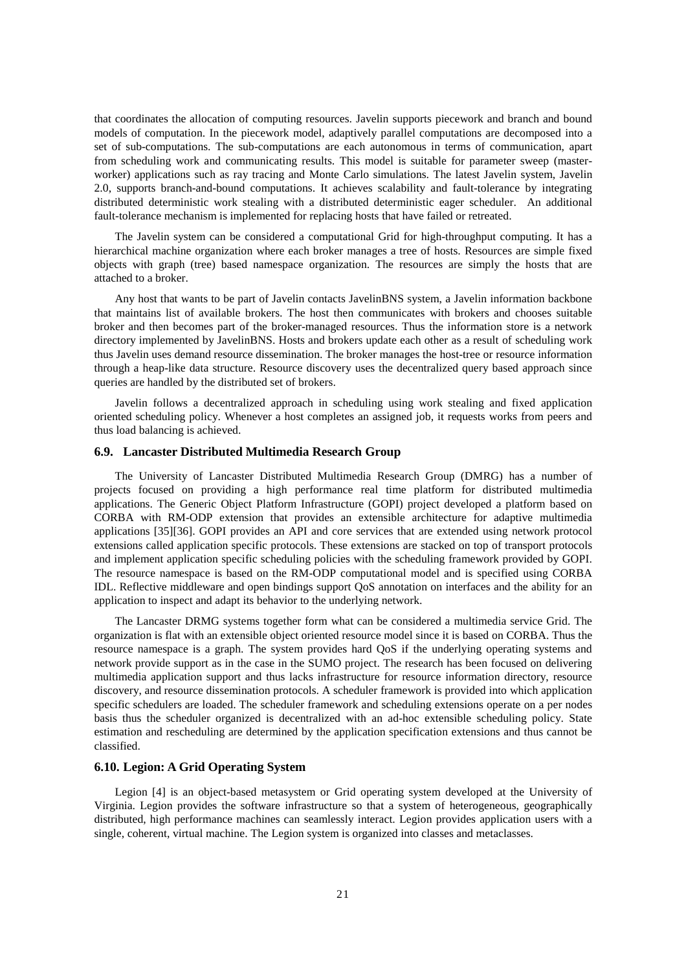that coordinates the allocation of computing resources. Javelin supports piecework and branch and bound models of computation. In the piecework model, adaptively parallel computations are decomposed into a set of sub-computations. The sub-computations are each autonomous in terms of communication, apart from scheduling work and communicating results. This model is suitable for parameter sweep (masterworker) applications such as ray tracing and Monte Carlo simulations. The latest Javelin system, Javelin 2.0, supports branch-and-bound computations. It achieves scalability and fault-tolerance by integrating distributed deterministic work stealing with a distributed deterministic eager scheduler. An additional fault-tolerance mechanism is implemented for replacing hosts that have failed or retreated.

The Javelin system can be considered a computational Grid for high-throughput computing. It has a hierarchical machine organization where each broker manages a tree of hosts. Resources are simple fixed objects with graph (tree) based namespace organization. The resources are simply the hosts that are attached to a broker.

Any host that wants to be part of Javelin contacts JavelinBNS system, a Javelin information backbone that maintains list of available brokers. The host then communicates with brokers and chooses suitable broker and then becomes part of the broker-managed resources. Thus the information store is a network directory implemented by JavelinBNS. Hosts and brokers update each other as a result of scheduling work thus Javelin uses demand resource dissemination. The broker manages the host-tree or resource information through a heap-like data structure. Resource discovery uses the decentralized query based approach since queries are handled by the distributed set of brokers.

Javelin follows a decentralized approach in scheduling using work stealing and fixed application oriented scheduling policy. Whenever a host completes an assigned job, it requests works from peers and thus load balancing is achieved.

# **6.9. Lancaster Distributed Multimedia Research Group**

The University of Lancaster Distributed Multimedia Research Group (DMRG) has a number of projects focused on providing a high performance real time platform for distributed multimedia applications. The Generic Object Platform Infrastructure (GOPI) project developed a platform based on CORBA with RM-ODP extension that provides an extensible architecture for adaptive multimedia applications [35][36]. GOPI provides an API and core services that are extended using network protocol extensions called application specific protocols. These extensions are stacked on top of transport protocols and implement application specific scheduling policies with the scheduling framework provided by GOPI. The resource namespace is based on the RM-ODP computational model and is specified using CORBA IDL. Reflective middleware and open bindings support QoS annotation on interfaces and the ability for an application to inspect and adapt its behavior to the underlying network.

The Lancaster DRMG systems together form what can be considered a multimedia service Grid. The organization is flat with an extensible object oriented resource model since it is based on CORBA. Thus the resource namespace is a graph. The system provides hard QoS if the underlying operating systems and network provide support as in the case in the SUMO project. The research has been focused on delivering multimedia application support and thus lacks infrastructure for resource information directory, resource discovery, and resource dissemination protocols. A scheduler framework is provided into which application specific schedulers are loaded. The scheduler framework and scheduling extensions operate on a per nodes basis thus the scheduler organized is decentralized with an ad-hoc extensible scheduling policy. State estimation and rescheduling are determined by the application specification extensions and thus cannot be classified.

# **6.10. Legion: A Grid Operating System**

Legion [4] is an object-based metasystem or Grid operating system developed at the University of Virginia. Legion provides the software infrastructure so that a system of heterogeneous, geographically distributed, high performance machines can seamlessly interact. Legion provides application users with a single, coherent, virtual machine. The Legion system is organized into classes and metaclasses.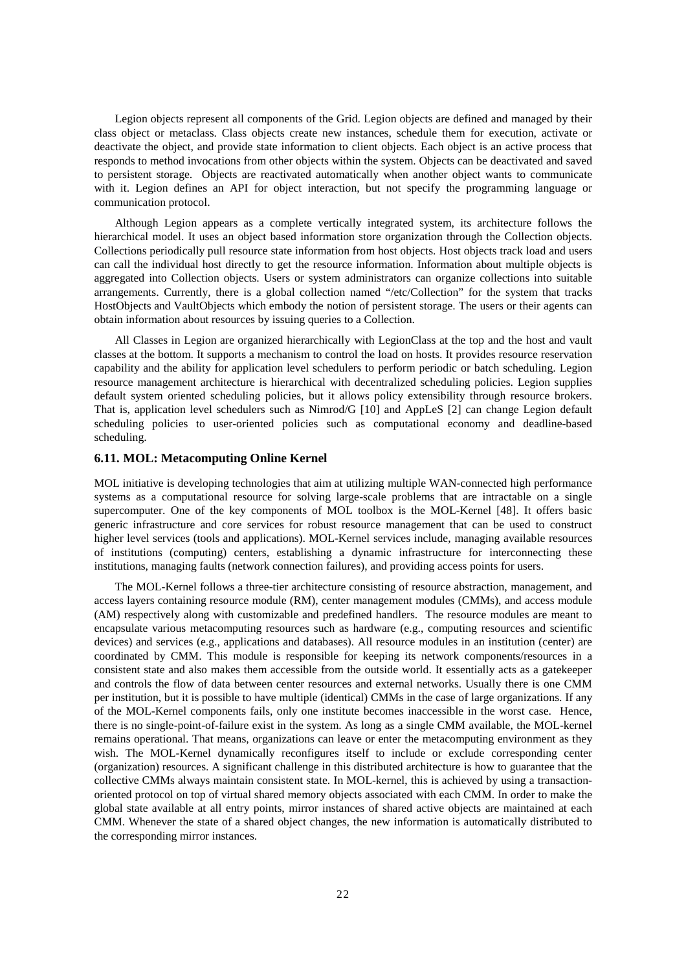Legion objects represent all components of the Grid. Legion objects are defined and managed by their class object or metaclass. Class objects create new instances, schedule them for execution, activate or deactivate the object, and provide state information to client objects. Each object is an active process that responds to method invocations from other objects within the system. Objects can be deactivated and saved to persistent storage. Objects are reactivated automatically when another object wants to communicate with it. Legion defines an API for object interaction, but not specify the programming language or communication protocol.

Although Legion appears as a complete vertically integrated system, its architecture follows the hierarchical model. It uses an object based information store organization through the Collection objects. Collections periodically pull resource state information from host objects. Host objects track load and users can call the individual host directly to get the resource information. Information about multiple objects is aggregated into Collection objects. Users or system administrators can organize collections into suitable arrangements. Currently, there is a global collection named "/etc/Collection" for the system that tracks HostObjects and VaultObjects which embody the notion of persistent storage. The users or their agents can obtain information about resources by issuing queries to a Collection.

All Classes in Legion are organized hierarchically with LegionClass at the top and the host and vault classes at the bottom. It supports a mechanism to control the load on hosts. It provides resource reservation capability and the ability for application level schedulers to perform periodic or batch scheduling. Legion resource management architecture is hierarchical with decentralized scheduling policies. Legion supplies default system oriented scheduling policies, but it allows policy extensibility through resource brokers. That is, application level schedulers such as Nimrod/G [10] and AppLeS [2] can change Legion default scheduling policies to user-oriented policies such as computational economy and deadline-based scheduling.

#### **6.11. MOL: Metacomputing Online Kernel**

MOL initiative is developing technologies that aim at utilizing multiple WAN-connected high performance systems as a computational resource for solving large-scale problems that are intractable on a single supercomputer. One of the key components of MOL toolbox is the MOL-Kernel [48]. It offers basic generic infrastructure and core services for robust resource management that can be used to construct higher level services (tools and applications). MOL-Kernel services include, managing available resources of institutions (computing) centers, establishing a dynamic infrastructure for interconnecting these institutions, managing faults (network connection failures), and providing access points for users.

The MOL-Kernel follows a three-tier architecture consisting of resource abstraction, management, and access layers containing resource module (RM), center management modules (CMMs), and access module (AM) respectively along with customizable and predefined handlers. The resource modules are meant to encapsulate various metacomputing resources such as hardware (e.g., computing resources and scientific devices) and services (e.g., applications and databases). All resource modules in an institution (center) are coordinated by CMM. This module is responsible for keeping its network components/resources in a consistent state and also makes them accessible from the outside world. It essentially acts as a gatekeeper and controls the flow of data between center resources and external networks. Usually there is one CMM per institution, but it is possible to have multiple (identical) CMMs in the case of large organizations. If any of the MOL-Kernel components fails, only one institute becomes inaccessible in the worst case. Hence, there is no single-point-of-failure exist in the system. As long as a single CMM available, the MOL-kernel remains operational. That means, organizations can leave or enter the metacomputing environment as they wish. The MOL-Kernel dynamically reconfigures itself to include or exclude corresponding center (organization) resources. A significant challenge in this distributed architecture is how to guarantee that the collective CMMs always maintain consistent state. In MOL-kernel, this is achieved by using a transactionoriented protocol on top of virtual shared memory objects associated with each CMM. In order to make the global state available at all entry points, mirror instances of shared active objects are maintained at each CMM. Whenever the state of a shared object changes, the new information is automatically distributed to the corresponding mirror instances.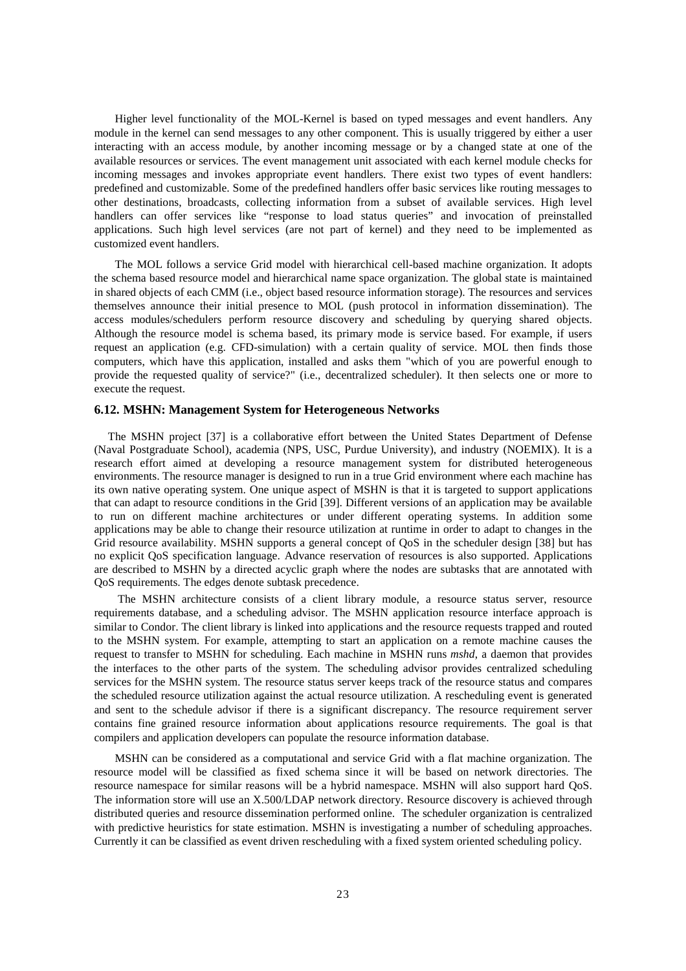Higher level functionality of the MOL-Kernel is based on typed messages and event handlers. Any module in the kernel can send messages to any other component. This is usually triggered by either a user interacting with an access module, by another incoming message or by a changed state at one of the available resources or services. The event management unit associated with each kernel module checks for incoming messages and invokes appropriate event handlers. There exist two types of event handlers: predefined and customizable. Some of the predefined handlers offer basic services like routing messages to other destinations, broadcasts, collecting information from a subset of available services. High level handlers can offer services like "response to load status queries" and invocation of preinstalled applications. Such high level services (are not part of kernel) and they need to be implemented as customized event handlers.

The MOL follows a service Grid model with hierarchical cell-based machine organization. It adopts the schema based resource model and hierarchical name space organization. The global state is maintained in shared objects of each CMM (i.e., object based resource information storage). The resources and services themselves announce their initial presence to MOL (push protocol in information dissemination). The access modules/schedulers perform resource discovery and scheduling by querying shared objects. Although the resource model is schema based, its primary mode is service based. For example, if users request an application (e.g. CFD-simulation) with a certain quality of service. MOL then finds those computers, which have this application, installed and asks them "which of you are powerful enough to provide the requested quality of service?" (i.e., decentralized scheduler). It then selects one or more to execute the request.

#### **6.12. MSHN: Management System for Heterogeneous Networks**

The MSHN project [37] is a collaborative effort between the United States Department of Defense (Naval Postgraduate School), academia (NPS, USC, Purdue University), and industry (NOEMIX). It is a research effort aimed at developing a resource management system for distributed heterogeneous environments. The resource manager is designed to run in a true Grid environment where each machine has its own native operating system. One unique aspect of MSHN is that it is targeted to support applications that can adapt to resource conditions in the Grid [39]. Different versions of an application may be available to run on different machine architectures or under different operating systems. In addition some applications may be able to change their resource utilization at runtime in order to adapt to changes in the Grid resource availability. MSHN supports a general concept of QoS in the scheduler design [38] but has no explicit QoS specification language. Advance reservation of resources is also supported. Applications are described to MSHN by a directed acyclic graph where the nodes are subtasks that are annotated with QoS requirements. The edges denote subtask precedence.

 The MSHN architecture consists of a client library module, a resource status server, resource requirements database, and a scheduling advisor. The MSHN application resource interface approach is similar to Condor. The client library is linked into applications and the resource requests trapped and routed to the MSHN system. For example, attempting to start an application on a remote machine causes the request to transfer to MSHN for scheduling. Each machine in MSHN runs *mshd*, a daemon that provides the interfaces to the other parts of the system. The scheduling advisor provides centralized scheduling services for the MSHN system. The resource status server keeps track of the resource status and compares the scheduled resource utilization against the actual resource utilization. A rescheduling event is generated and sent to the schedule advisor if there is a significant discrepancy. The resource requirement server contains fine grained resource information about applications resource requirements. The goal is that compilers and application developers can populate the resource information database.

MSHN can be considered as a computational and service Grid with a flat machine organization. The resource model will be classified as fixed schema since it will be based on network directories. The resource namespace for similar reasons will be a hybrid namespace. MSHN will also support hard QoS. The information store will use an X.500/LDAP network directory. Resource discovery is achieved through distributed queries and resource dissemination performed online. The scheduler organization is centralized with predictive heuristics for state estimation. MSHN is investigating a number of scheduling approaches. Currently it can be classified as event driven rescheduling with a fixed system oriented scheduling policy.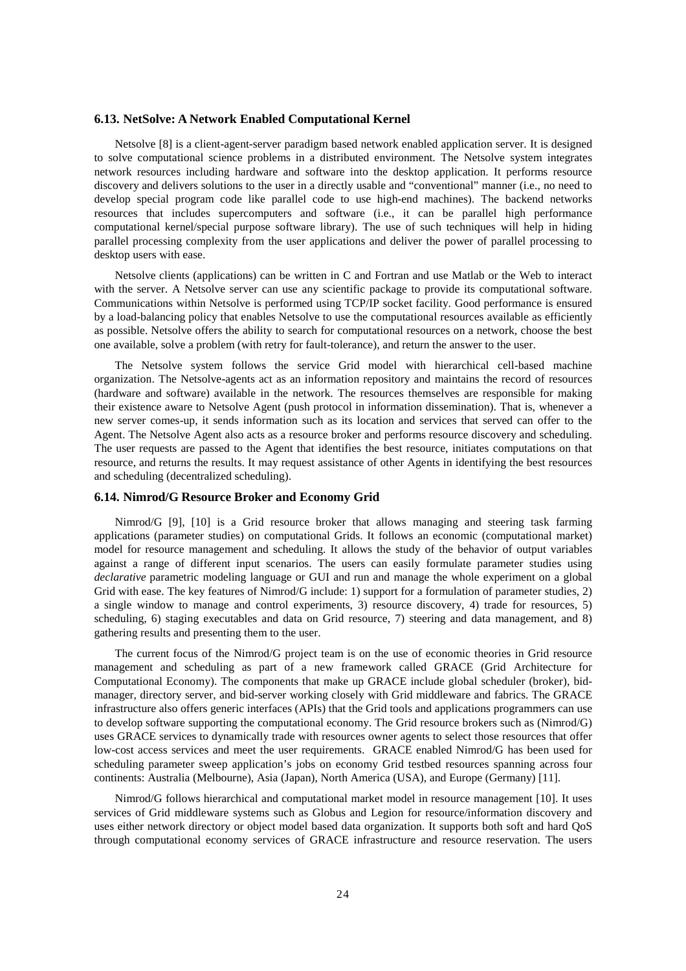# **6.13. NetSolve: A Network Enabled Computational Kernel**

Netsolve [8] is a client-agent-server paradigm based network enabled application server. It is designed to solve computational science problems in a distributed environment. The Netsolve system integrates network resources including hardware and software into the desktop application. It performs resource discovery and delivers solutions to the user in a directly usable and "conventional" manner (i.e., no need to develop special program code like parallel code to use high-end machines). The backend networks resources that includes supercomputers and software (i.e., it can be parallel high performance computational kernel/special purpose software library). The use of such techniques will help in hiding parallel processing complexity from the user applications and deliver the power of parallel processing to desktop users with ease.

Netsolve clients (applications) can be written in C and Fortran and use Matlab or the Web to interact with the server. A Netsolve server can use any scientific package to provide its computational software. Communications within Netsolve is performed using TCP/IP socket facility. Good performance is ensured by a load-balancing policy that enables Netsolve to use the computational resources available as efficiently as possible. Netsolve offers the ability to search for computational resources on a network, choose the best one available, solve a problem (with retry for fault-tolerance), and return the answer to the user.

The Netsolve system follows the service Grid model with hierarchical cell-based machine organization. The Netsolve-agents act as an information repository and maintains the record of resources (hardware and software) available in the network. The resources themselves are responsible for making their existence aware to Netsolve Agent (push protocol in information dissemination). That is, whenever a new server comes-up, it sends information such as its location and services that served can offer to the Agent. The Netsolve Agent also acts as a resource broker and performs resource discovery and scheduling. The user requests are passed to the Agent that identifies the best resource, initiates computations on that resource, and returns the results. It may request assistance of other Agents in identifying the best resources and scheduling (decentralized scheduling).

# **6.14. Nimrod/G Resource Broker and Economy Grid**

Nimrod/G [9], [10] is a Grid resource broker that allows managing and steering task farming applications (parameter studies) on computational Grids. It follows an economic (computational market) model for resource management and scheduling. It allows the study of the behavior of output variables against a range of different input scenarios. The users can easily formulate parameter studies using *declarative* parametric modeling language or GUI and run and manage the whole experiment on a global Grid with ease. The key features of Nimrod/G include: 1) support for a formulation of parameter studies, 2) a single window to manage and control experiments, 3) resource discovery, 4) trade for resources, 5) scheduling, 6) staging executables and data on Grid resource, 7) steering and data management, and 8) gathering results and presenting them to the user.

The current focus of the Nimrod/G project team is on the use of economic theories in Grid resource management and scheduling as part of a new framework called GRACE (Grid Architecture for Computational Economy). The components that make up GRACE include global scheduler (broker), bidmanager, directory server, and bid-server working closely with Grid middleware and fabrics. The GRACE infrastructure also offers generic interfaces (APIs) that the Grid tools and applications programmers can use to develop software supporting the computational economy. The Grid resource brokers such as (Nimrod/G) uses GRACE services to dynamically trade with resources owner agents to select those resources that offer low-cost access services and meet the user requirements. GRACE enabled Nimrod/G has been used for scheduling parameter sweep application's jobs on economy Grid testbed resources spanning across four continents: Australia (Melbourne), Asia (Japan), North America (USA), and Europe (Germany) [11].

Nimrod/G follows hierarchical and computational market model in resource management [10]. It uses services of Grid middleware systems such as Globus and Legion for resource/information discovery and uses either network directory or object model based data organization. It supports both soft and hard QoS through computational economy services of GRACE infrastructure and resource reservation. The users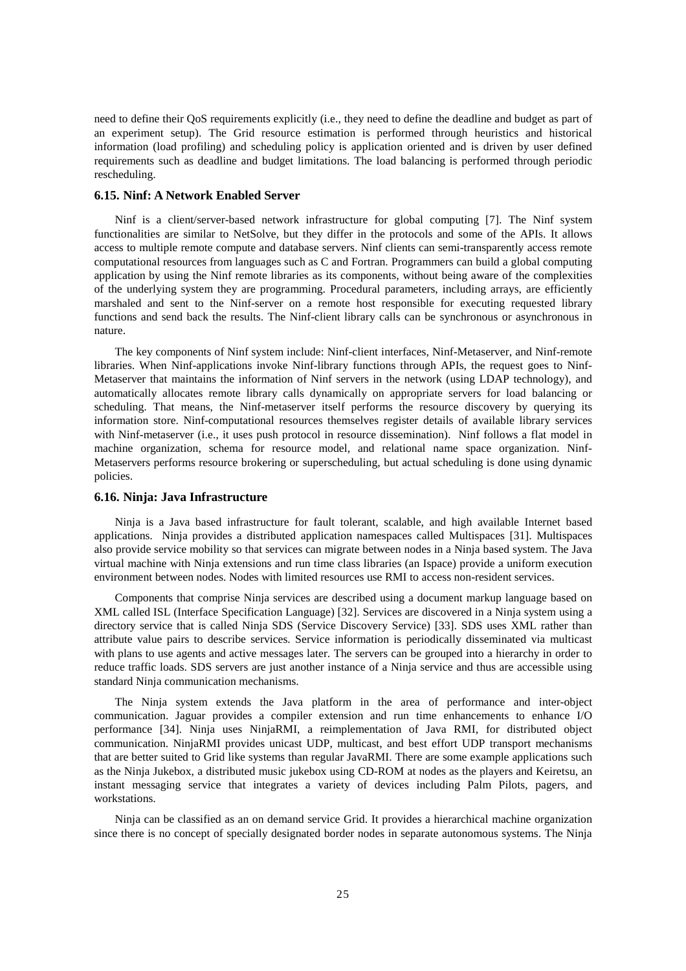need to define their QoS requirements explicitly (i.e., they need to define the deadline and budget as part of an experiment setup). The Grid resource estimation is performed through heuristics and historical information (load profiling) and scheduling policy is application oriented and is driven by user defined requirements such as deadline and budget limitations. The load balancing is performed through periodic rescheduling.

### **6.15. Ninf: A Network Enabled Server**

Ninf is a client/server-based network infrastructure for global computing [7]. The Ninf system functionalities are similar to NetSolve, but they differ in the protocols and some of the APIs. It allows access to multiple remote compute and database servers. Ninf clients can semi-transparently access remote computational resources from languages such as C and Fortran. Programmers can build a global computing application by using the Ninf remote libraries as its components, without being aware of the complexities of the underlying system they are programming. Procedural parameters, including arrays, are efficiently marshaled and sent to the Ninf-server on a remote host responsible for executing requested library functions and send back the results. The Ninf-client library calls can be synchronous or asynchronous in nature.

The key components of Ninf system include: Ninf-client interfaces, Ninf-Metaserver, and Ninf-remote libraries. When Ninf-applications invoke Ninf-library functions through APIs, the request goes to Ninf-Metaserver that maintains the information of Ninf servers in the network (using LDAP technology), and automatically allocates remote library calls dynamically on appropriate servers for load balancing or scheduling. That means, the Ninf-metaserver itself performs the resource discovery by querying its information store. Ninf-computational resources themselves register details of available library services with Ninf-metaserver (i.e., it uses push protocol in resource dissemination). Ninf follows a flat model in machine organization, schema for resource model, and relational name space organization. Ninf-Metaservers performs resource brokering or superscheduling, but actual scheduling is done using dynamic policies.

# **6.16. Ninja: Java Infrastructure**

Ninja is a Java based infrastructure for fault tolerant, scalable, and high available Internet based applications. Ninja provides a distributed application namespaces called Multispaces [31]. Multispaces also provide service mobility so that services can migrate between nodes in a Ninja based system. The Java virtual machine with Ninja extensions and run time class libraries (an Ispace) provide a uniform execution environment between nodes. Nodes with limited resources use RMI to access non-resident services.

Components that comprise Ninja services are described using a document markup language based on XML called ISL (Interface Specification Language) [32]. Services are discovered in a Ninja system using a directory service that is called Ninja SDS (Service Discovery Service) [33]. SDS uses XML rather than attribute value pairs to describe services. Service information is periodically disseminated via multicast with plans to use agents and active messages later. The servers can be grouped into a hierarchy in order to reduce traffic loads. SDS servers are just another instance of a Ninja service and thus are accessible using standard Ninja communication mechanisms.

The Ninja system extends the Java platform in the area of performance and inter-object communication. Jaguar provides a compiler extension and run time enhancements to enhance I/O performance [34]. Ninja uses NinjaRMI, a reimplementation of Java RMI, for distributed object communication. NinjaRMI provides unicast UDP, multicast, and best effort UDP transport mechanisms that are better suited to Grid like systems than regular JavaRMI. There are some example applications such as the Ninja Jukebox, a distributed music jukebox using CD-ROM at nodes as the players and Keiretsu, an instant messaging service that integrates a variety of devices including Palm Pilots, pagers, and workstations.

Ninja can be classified as an on demand service Grid. It provides a hierarchical machine organization since there is no concept of specially designated border nodes in separate autonomous systems. The Ninja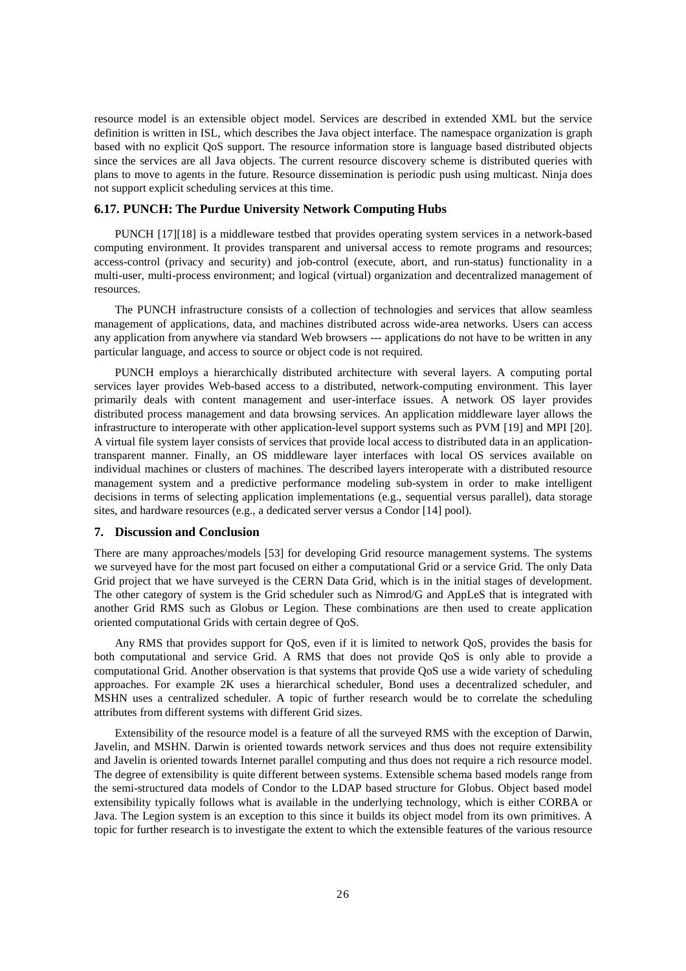resource model is an extensible object model. Services are described in extended XML but the service definition is written in ISL, which describes the Java object interface. The namespace organization is graph based with no explicit QoS support. The resource information store is language based distributed objects since the services are all Java objects. The current resource discovery scheme is distributed queries with plans to move to agents in the future. Resource dissemination is periodic push using multicast. Ninja does not support explicit scheduling services at this time.

### **6.17. PUNCH: The Purdue University Network Computing Hubs**

PUNCH [17][18] is a middleware testbed that provides operating system services in a network-based computing environment. It provides transparent and universal access to remote programs and resources; access-control (privacy and security) and job-control (execute, abort, and run-status) functionality in a multi-user, multi-process environment; and logical (virtual) organization and decentralized management of resources.

The PUNCH infrastructure consists of a collection of technologies and services that allow seamless management of applications, data, and machines distributed across wide-area networks. Users can access any application from anywhere via standard Web browsers --- applications do not have to be written in any particular language, and access to source or object code is not required.

PUNCH employs a hierarchically distributed architecture with several layers. A computing portal services layer provides Web-based access to a distributed, network-computing environment. This layer primarily deals with content management and user-interface issues. A network OS layer provides distributed process management and data browsing services. An application middleware layer allows the infrastructure to interoperate with other application-level support systems such as PVM [19] and MPI [20]. A virtual file system layer consists of services that provide local access to distributed data in an applicationtransparent manner. Finally, an OS middleware layer interfaces with local OS services available on individual machines or clusters of machines. The described layers interoperate with a distributed resource management system and a predictive performance modeling sub-system in order to make intelligent decisions in terms of selecting application implementations (e.g., sequential versus parallel), data storage sites, and hardware resources (e.g., a dedicated server versus a Condor [14] pool).

#### **7. Discussion and Conclusion**

There are many approaches/models [53] for developing Grid resource management systems. The systems we surveyed have for the most part focused on either a computational Grid or a service Grid. The only Data Grid project that we have surveyed is the CERN Data Grid, which is in the initial stages of development. The other category of system is the Grid scheduler such as Nimrod/G and AppLeS that is integrated with another Grid RMS such as Globus or Legion. These combinations are then used to create application oriented computational Grids with certain degree of QoS.

Any RMS that provides support for QoS, even if it is limited to network QoS, provides the basis for both computational and service Grid. A RMS that does not provide QoS is only able to provide a computational Grid. Another observation is that systems that provide QoS use a wide variety of scheduling approaches. For example 2K uses a hierarchical scheduler, Bond uses a decentralized scheduler, and MSHN uses a centralized scheduler. A topic of further research would be to correlate the scheduling attributes from different systems with different Grid sizes.

Extensibility of the resource model is a feature of all the surveyed RMS with the exception of Darwin, Javelin, and MSHN. Darwin is oriented towards network services and thus does not require extensibility and Javelin is oriented towards Internet parallel computing and thus does not require a rich resource model. The degree of extensibility is quite different between systems. Extensible schema based models range from the semi-structured data models of Condor to the LDAP based structure for Globus. Object based model extensibility typically follows what is available in the underlying technology, which is either CORBA or Java. The Legion system is an exception to this since it builds its object model from its own primitives. A topic for further research is to investigate the extent to which the extensible features of the various resource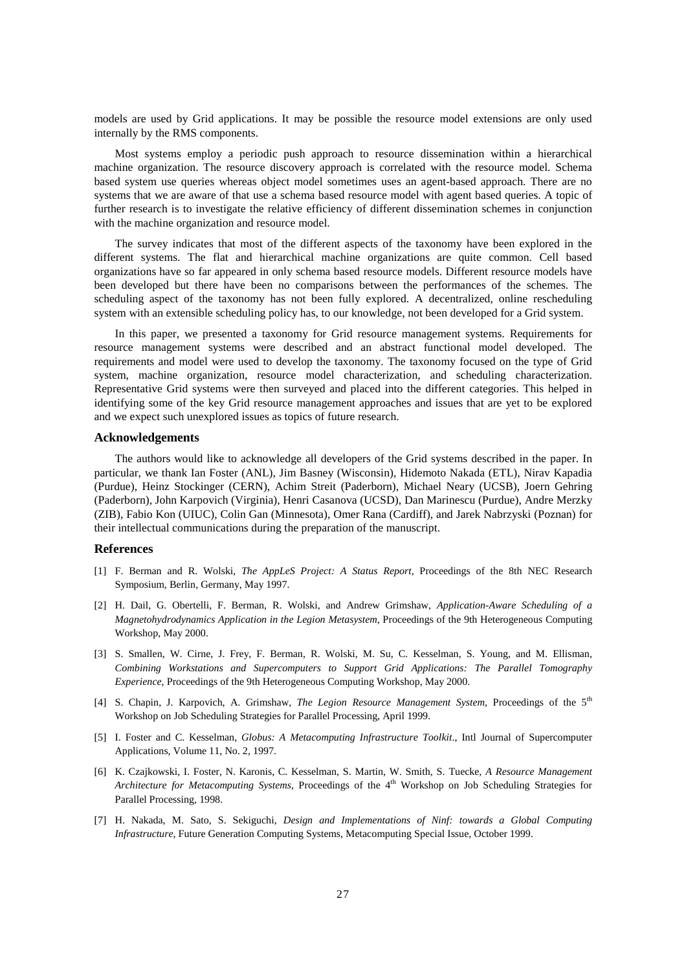models are used by Grid applications. It may be possible the resource model extensions are only used internally by the RMS components.

Most systems employ a periodic push approach to resource dissemination within a hierarchical machine organization. The resource discovery approach is correlated with the resource model. Schema based system use queries whereas object model sometimes uses an agent-based approach. There are no systems that we are aware of that use a schema based resource model with agent based queries. A topic of further research is to investigate the relative efficiency of different dissemination schemes in conjunction with the machine organization and resource model.

The survey indicates that most of the different aspects of the taxonomy have been explored in the different systems. The flat and hierarchical machine organizations are quite common. Cell based organizations have so far appeared in only schema based resource models. Different resource models have been developed but there have been no comparisons between the performances of the schemes. The scheduling aspect of the taxonomy has not been fully explored. A decentralized, online rescheduling system with an extensible scheduling policy has, to our knowledge, not been developed for a Grid system.

In this paper, we presented a taxonomy for Grid resource management systems. Requirements for resource management systems were described and an abstract functional model developed. The requirements and model were used to develop the taxonomy. The taxonomy focused on the type of Grid system, machine organization, resource model characterization, and scheduling characterization. Representative Grid systems were then surveyed and placed into the different categories. This helped in identifying some of the key Grid resource management approaches and issues that are yet to be explored and we expect such unexplored issues as topics of future research.

#### **Acknowledgements**

The authors would like to acknowledge all developers of the Grid systems described in the paper. In particular, we thank Ian Foster (ANL), Jim Basney (Wisconsin), Hidemoto Nakada (ETL), Nirav Kapadia (Purdue), Heinz Stockinger (CERN), Achim Streit (Paderborn), Michael Neary (UCSB), Joern Gehring (Paderborn), John Karpovich (Virginia), Henri Casanova (UCSD), Dan Marinescu (Purdue), Andre Merzky (ZIB), Fabio Kon (UIUC), Colin Gan (Minnesota), Omer Rana (Cardiff), and Jarek Nabrzyski (Poznan) for their intellectual communications during the preparation of the manuscript.

#### **References**

- [1] F. Berman and R. Wolski, *The AppLeS Project: A Status Report*, Proceedings of the 8th NEC Research Symposium, Berlin, Germany, May 1997.
- [2] H. Dail, G. Obertelli, F. Berman, R. Wolski, and Andrew Grimshaw, *Application-Aware Scheduling of a Magnetohydrodynamics Application in the Legion Metasystem*, Proceedings of the 9th Heterogeneous Computing Workshop, May 2000.
- [3] S. Smallen, W. Cirne, J. Frey, F. Berman, R. Wolski, M. Su, C. Kesselman, S. Young, and M. Ellisman, *Combining Workstations and Supercomputers to Support Grid Applications: The Parallel Tomography Experience*, Proceedings of the 9th Heterogeneous Computing Workshop, May 2000.
- [4] S. Chapin, J. Karpovich, A. Grimshaw, *The Legion Resource Management System*, Proceedings of the 5th Workshop on Job Scheduling Strategies for Parallel Processing, April 1999.
- [5] I. Foster and C. Kesselman, *Globus: A Metacomputing Infrastructure Toolkit*., Intl Journal of Supercomputer Applications, Volume 11, No. 2, 1997.
- [6] K. Czajkowski, I. Foster, N. Karonis, C. Kesselman, S. Martin, W. Smith, S. Tuecke*, A Resource Management Architecture for Metacomputing Systems*, Proceedings of the 4<sup>th</sup> Workshop on Job Scheduling Strategies for Parallel Processing, 1998.
- [7] H. Nakada, M. Sato, S. Sekiguchi, *Design and Implementations of Ninf: towards a Global Computing Infrastructure*, Future Generation Computing Systems, Metacomputing Special Issue, October 1999.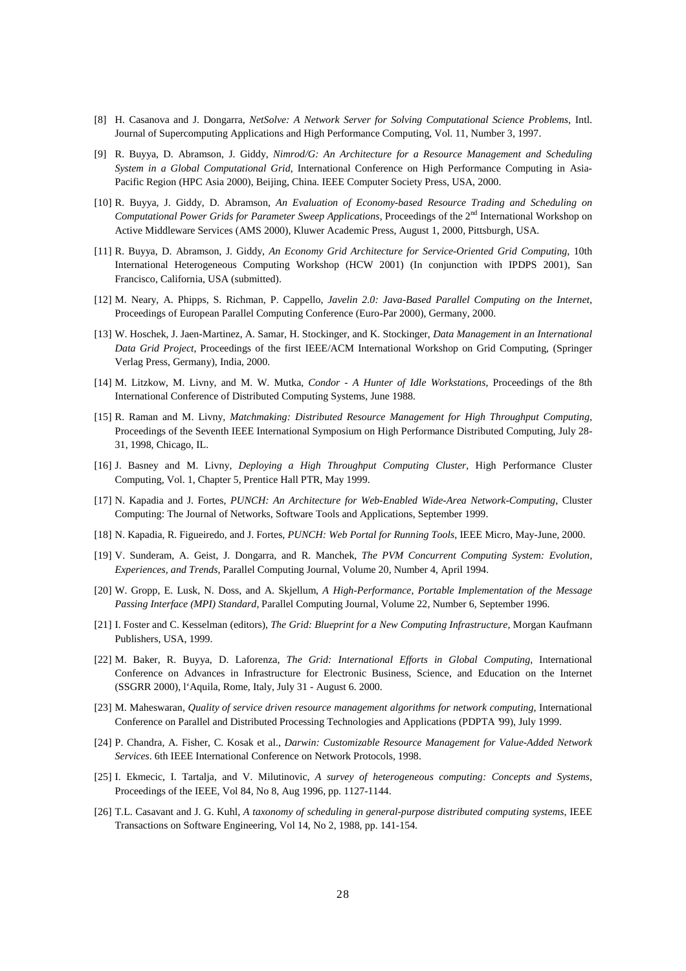- [8] H. Casanova and J. Dongarra, *NetSolve: A Network Server for Solving Computational Science Problems*, Intl. Journal of Supercomputing Applications and High Performance Computing, Vol. 11, Number 3, 1997.
- [9] R. Buyya, D. Abramson, J. Giddy, *Nimrod/G: An Architecture for a Resource Management and Scheduling System in a Global Computational Grid*, International Conference on High Performance Computing in Asia-Pacific Region (HPC Asia 2000), Beijing, China. IEEE Computer Society Press, USA, 2000.
- [10] R. Buyya, J. Giddy, D. Abramson, *An Evaluation of Economy-based Resource Trading and Scheduling on Computational Power Grids for Parameter Sweep Applications*, Proceedings of the 2nd International Workshop on Active Middleware Services (AMS 2000), Kluwer Academic Press, August 1, 2000, Pittsburgh, USA.
- [11] R. Buyya, D. Abramson, J. Giddy, *An Economy Grid Architecture for Service-Oriented Grid Computing*, 10th International Heterogeneous Computing Workshop (HCW 2001) (In conjunction with IPDPS 2001), San Francisco, California, USA (submitted).
- [12] M. Neary, A. Phipps, S. Richman, P. Cappello, *Javelin 2.0: Java-Based Parallel Computing on the Internet*, Proceedings of European Parallel Computing Conference (Euro-Par 2000), Germany, 2000.
- [13] W. Hoschek, J. Jaen-Martinez, A. Samar, H. Stockinger, and K. Stockinger, *Data Management in an International Data Grid Project*, Proceedings of the first IEEE/ACM International Workshop on Grid Computing, (Springer Verlag Press, Germany), India, 2000.
- [14] M. Litzkow, M. Livny, and M. W. Mutka, *Condor A Hunter of Idle Workstations*, Proceedings of the 8th International Conference of Distributed Computing Systems, June 1988.
- [15] R. Raman and M. Livny*, Matchmaking: Distributed Resource Management for High Throughput Computing*, Proceedings of the Seventh IEEE International Symposium on High Performance Distributed Computing, July 28- 31, 1998, Chicago, IL.
- [16] J. Basney and M. Livny, *Deploying a High Throughput Computing Cluster*, High Performance Cluster Computing, Vol. 1, Chapter 5, Prentice Hall PTR, May 1999.
- [17] N. Kapadia and J. Fortes, *PUNCH: An Architecture for Web-Enabled Wide-Area Network-Computing*, Cluster Computing: The Journal of Networks, Software Tools and Applications, September 1999.
- [18] N. Kapadia, R. Figueiredo, and J. Fortes, *PUNCH: Web Portal for Running Tools*, IEEE Micro, May-June, 2000.
- [19] V. Sunderam, A. Geist, J. Dongarra, and R. Manchek, *The PVM Concurrent Computing System: Evolution, Experiences, and Trends*, Parallel Computing Journal, Volume 20, Number 4, April 1994.
- [20] W. Gropp, E. Lusk, N. Doss, and A. Skjellum, *A High-Performance, Portable Implementation of the Message Passing Interface (MPI) Standard*, Parallel Computing Journal, Volume 22, Number 6, September 1996.
- [21] I. Foster and C. Kesselman (editors), *The Grid: Blueprint for a New Computing Infrastructure*, Morgan Kaufmann Publishers, USA, 1999.
- [22] M. Baker, R. Buyya, D. Laforenza, *The Grid: International Efforts in Global Computing*, International Conference on Advances in Infrastructure for Electronic Business, Science, and Education on the Internet (SSGRR 2000), l'Aquila, Rome, Italy, July 31 - August 6. 2000.
- [23] M. Maheswaran, *Quality of service driven resource management algorithms for network computing*, International Conference on Parallel and Distributed Processing Technologies and Applications (PDPTA '99), July 1999.
- [24] P. Chandra, A. Fisher, C. Kosak et al., *Darwin: Customizable Resource Management for Value-Added Network Services*. 6th IEEE International Conference on Network Protocols, 1998.
- [25] I. Ekmecic, I. Tartalja, and V. Milutinovic, *A survey of heterogeneous computing: Concepts and Systems,* Proceedings of the IEEE, Vol 84, No 8, Aug 1996, pp. 1127-1144.
- [26] T.L. Casavant and J. G. Kuhl, *A taxonomy of scheduling in general-purpose distributed computing systems*, IEEE Transactions on Software Engineering, Vol 14, No 2, 1988, pp. 141-154.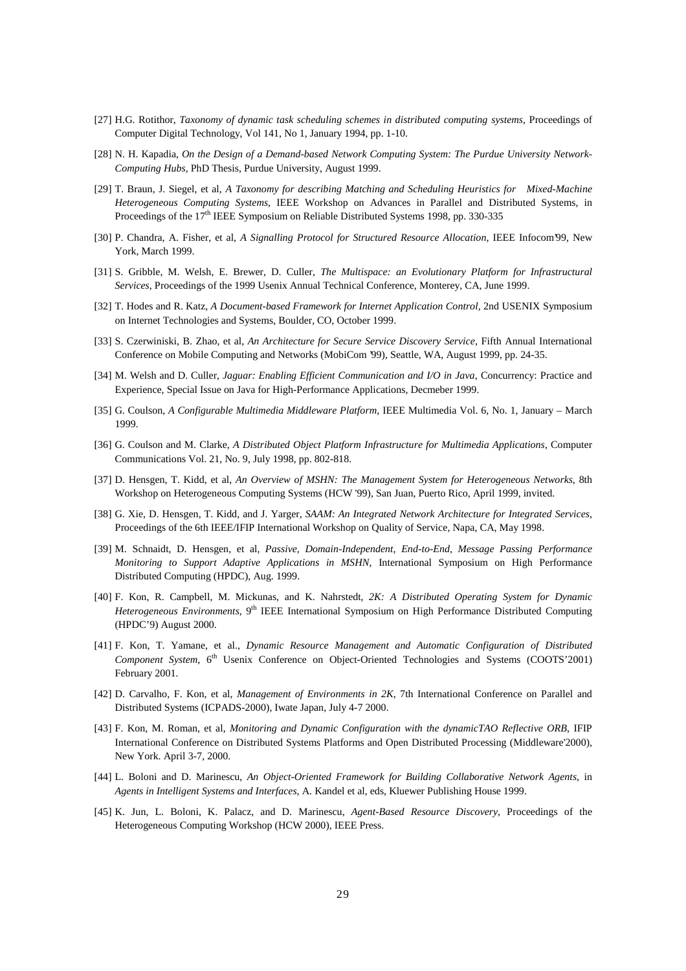- [27] H.G. Rotithor, *Taxonomy of dynamic task scheduling schemes in distributed computing systems*, Proceedings of Computer Digital Technology, Vol 141, No 1, January 1994, pp. 1-10.
- [28] N. H. Kapadia, *On the Design of a Demand-based Network Computing System: The Purdue University Network-Computing Hubs*, PhD Thesis, Purdue University, August 1999.
- [29] T. Braun, J. Siegel, et al, *A Taxonomy for describing Matching and Scheduling Heuristics for Mixed-Machine Heterogeneous Computing Systems*, IEEE Workshop on Advances in Parallel and Distributed Systems, in Proceedings of the 17th IEEE Symposium on Reliable Distributed Systems 1998, pp. 330-335
- [30] P. Chandra, A. Fisher, et al, *A Signalling Protocol for Structured Resource Allocation*, IEEE Infocom'99, New York, March 1999.
- [31] S. Gribble, M. Welsh, E. Brewer, D. Culler, *The Multispace: an Evolutionary Platform for Infrastructural Services*, Proceedings of the 1999 Usenix Annual Technical Conference, Monterey, CA, June 1999.
- [32] T. Hodes and R. Katz, *A Document-based Framework for Internet Application Control*, 2nd USENIX Symposium on Internet Technologies and Systems, Boulder, CO, October 1999.
- [33] S. Czerwiniski, B. Zhao, et al, *An Architecture for Secure Service Discovery Service*, Fifth Annual International Conference on Mobile Computing and Networks (MobiCom '99), Seattle, WA, August 1999, pp. 24-35.
- [34] M. Welsh and D. Culler, *Jaguar: Enabling Efficient Communication and I/O in Java*, Concurrency: Practice and Experience, Special Issue on Java for High-Performance Applications, Decmeber 1999.
- [35] G. Coulson, *A Configurable Multimedia Middleware Platform*, IEEE Multimedia Vol. 6, No. 1, January March 1999.
- [36] G. Coulson and M. Clarke, *A Distributed Object Platform Infrastructure for Multimedia Applications*, Computer Communications Vol. 21, No. 9, July 1998, pp. 802-818.
- [37] D. Hensgen, T. Kidd, et al, *An Overview of MSHN: The Management System for Heterogeneous Networks*, 8th Workshop on Heterogeneous Computing Systems (HCW '99), San Juan, Puerto Rico, April 1999, invited.
- [38] G. Xie, D. Hensgen, T. Kidd, and J. Yarger, *SAAM: An Integrated Network Architecture for Integrated Services*, Proceedings of the 6th IEEE/IFIP International Workshop on Quality of Service, Napa, CA, May 1998.
- [39] M. Schnaidt, D. Hensgen, et al, *Passive, Domain-Independent, End-to-End, Message Passing Performance Monitoring to Support Adaptive Applications in MSHN*, International Symposium on High Performance Distributed Computing (HPDC), Aug. 1999.
- [40] F. Kon, R. Campbell, M. Mickunas, and K. Nahrstedt*, 2K: A Distributed Operating System for Dynamic Heterogeneous Environments*, 9<sup>th</sup> IEEE International Symposium on High Performance Distributed Computing (HPDC'9) August 2000.
- [41] F. Kon, T. Yamane, et al., *Dynamic Resource Management and Automatic Configuration of Distributed* Component System, 6<sup>th</sup> Usenix Conference on Object-Oriented Technologies and Systems (COOTS'2001) February 2001.
- [42] D. Carvalho, F. Kon, et al, *Management of Environments in 2K*, 7th International Conference on Parallel and Distributed Systems (ICPADS-2000), Iwate Japan, July 4-7 2000.
- [43] F. Kon, M. Roman, et al, *Monitoring and Dynamic Configuration with the dynamicTAO Reflective ORB*, IFIP International Conference on Distributed Systems Platforms and Open Distributed Processing (Middleware'2000), New York. April 3-7, 2000.
- [44] L. Boloni and D. Marinescu, *An Object-Oriented Framework for Building Collaborative Network Agents*, in *Agents in Intelligent Systems and Interfaces*, A. Kandel et al, eds, Kluewer Publishing House 1999.
- [45] K. Jun, L. Boloni, K. Palacz, and D. Marinescu, *Agent-Based Resource Discovery*, Proceedings of the Heterogeneous Computing Workshop (HCW 2000), IEEE Press.